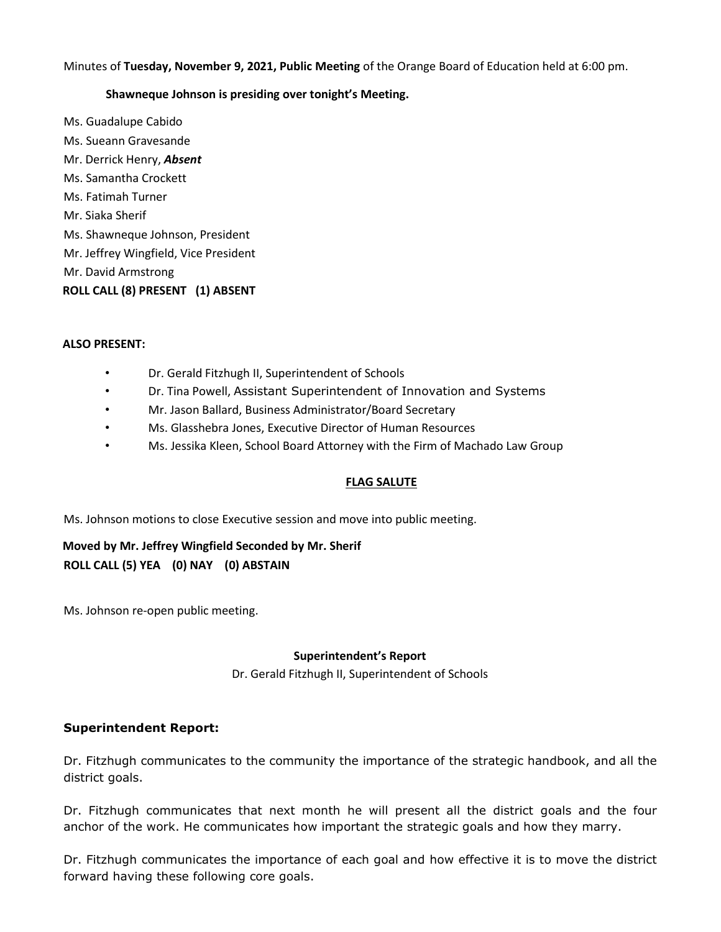Minutes of **Tuesday, November 9, 2021, Public Meeting** of the Orange Board of Education held at 6:00 pm.

#### **Shawneque Johnson is presiding over tonight's Meeting.**

Ms. Guadalupe Cabido Ms. Sueann Gravesande Mr. Derrick Henry, *Absent* Ms. Samantha Crockett Ms. Fatimah Turner Mr. Siaka Sherif Ms. Shawneque Johnson, President Mr. Jeffrey Wingfield, Vice President Mr. David Armstrong **ROLL CALL (8) PRESENT (1) ABSENT** 

#### **ALSO PRESENT:**

- Dr. Gerald Fitzhugh II, Superintendent of Schools
- Dr. Tina Powell, Assistant Superintendent of Innovation and Systems
- Mr. Jason Ballard, Business Administrator/Board Secretary
- Ms. Glasshebra Jones, Executive Director of Human Resources
- Ms. Jessika Kleen, School Board Attorney with the Firm of Machado Law Group

### **FLAG SALUTE**

Ms. Johnson motions to close Executive session and move into public meeting.

# **Moved by Mr. Jeffrey Wingfield Seconded by Mr. Sherif ROLL CALL (5) YEA (0) NAY (0) ABSTAIN**

Ms. Johnson re-open public meeting.

#### **Superintendent's Report**

Dr. Gerald Fitzhugh II, Superintendent of Schools

### **Superintendent Report:**

Dr. Fitzhugh communicates to the community the importance of the strategic handbook, and all the district goals.

Dr. Fitzhugh communicates that next month he will present all the district goals and the four anchor of the work. He communicates how important the strategic goals and how they marry.

Dr. Fitzhugh communicates the importance of each goal and how effective it is to move the district forward having these following core goals.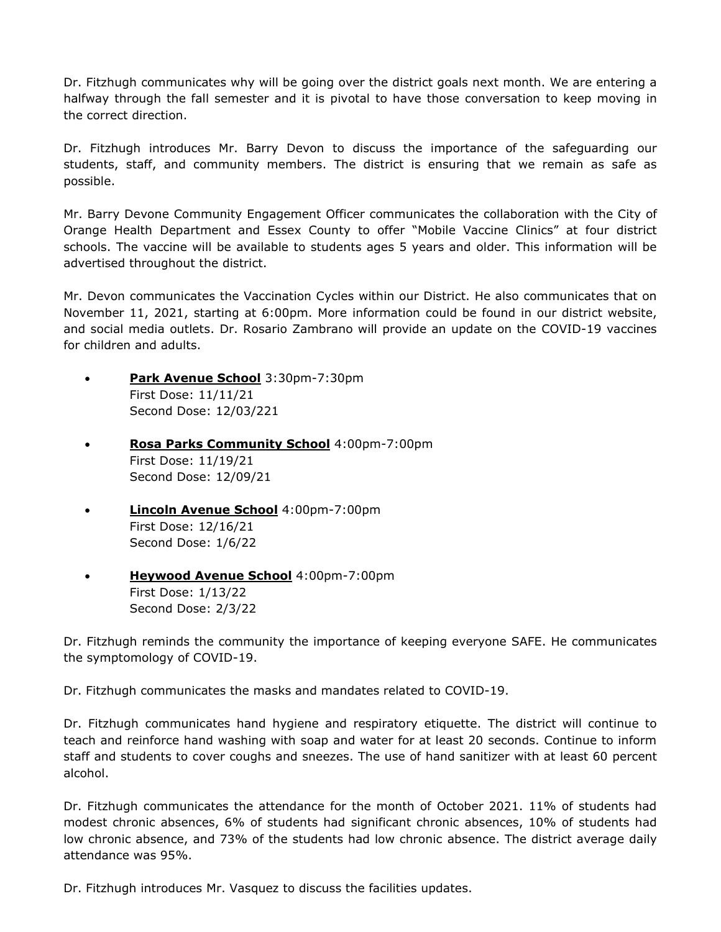Dr. Fitzhugh communicates why will be going over the district goals next month. We are entering a halfway through the fall semester and it is pivotal to have those conversation to keep moving in the correct direction.

Dr. Fitzhugh introduces Mr. Barry Devon to discuss the importance of the safeguarding our students, staff, and community members. The district is ensuring that we remain as safe as possible.

Mr. Barry Devone Community Engagement Officer communicates the collaboration with the City of Orange Health Department and Essex County to offer "Mobile Vaccine Clinics" at four district schools. The vaccine will be available to students ages 5 years and older. This information will be advertised throughout the district.

Mr. Devon communicates the Vaccination Cycles within our District. He also communicates that on November 11, 2021, starting at 6:00pm. More information could be found in our district website, and social media outlets. Dr. Rosario Zambrano will provide an update on the COVID-19 vaccines for children and adults.

- **Park Avenue School** 3:30pm-7:30pm First Dose: 11/11/21 Second Dose: 12/03/221
- **Rosa Parks Community School** 4:00pm-7:00pm First Dose: 11/19/21 Second Dose: 12/09/21
- **Lincoln Avenue School** 4:00pm-7:00pm First Dose: 12/16/21 Second Dose: 1/6/22
- **Heywood Avenue School** 4:00pm-7:00pm First Dose: 1/13/22 Second Dose: 2/3/22

Dr. Fitzhugh reminds the community the importance of keeping everyone SAFE. He communicates the symptomology of COVID-19.

Dr. Fitzhugh communicates the masks and mandates related to COVID-19.

Dr. Fitzhugh communicates hand hygiene and respiratory etiquette. The district will continue to teach and reinforce hand washing with soap and water for at least 20 seconds. Continue to inform staff and students to cover coughs and sneezes. The use of hand sanitizer with at least 60 percent alcohol.

Dr. Fitzhugh communicates the attendance for the month of October 2021. 11% of students had modest chronic absences, 6% of students had significant chronic absences, 10% of students had low chronic absence, and 73% of the students had low chronic absence. The district average daily attendance was 95%.

Dr. Fitzhugh introduces Mr. Vasquez to discuss the facilities updates.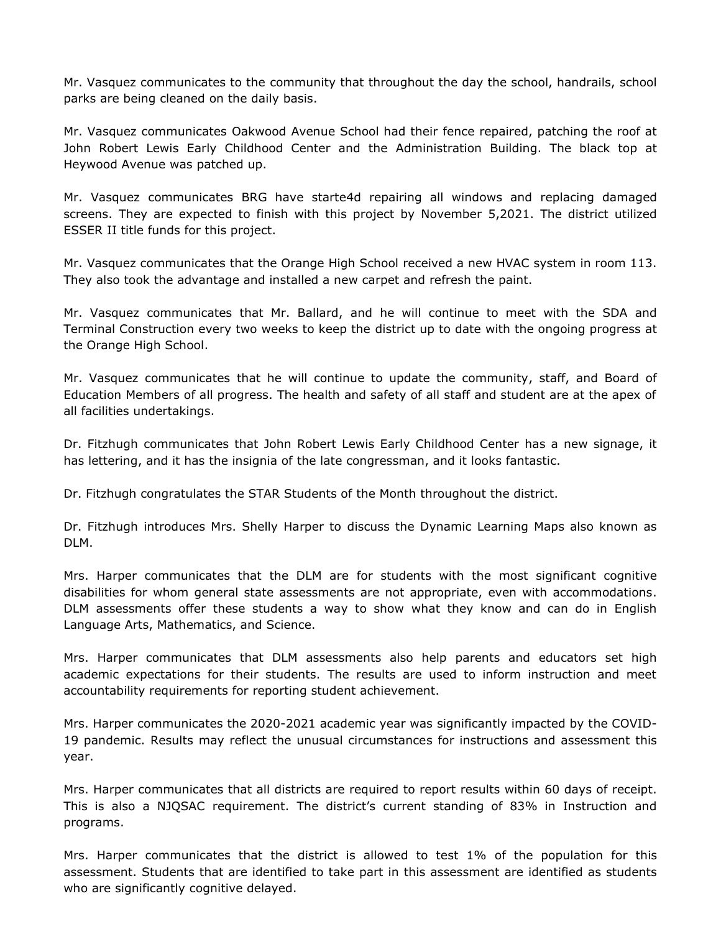Mr. Vasquez communicates to the community that throughout the day the school, handrails, school parks are being cleaned on the daily basis.

Mr. Vasquez communicates Oakwood Avenue School had their fence repaired, patching the roof at John Robert Lewis Early Childhood Center and the Administration Building. The black top at Heywood Avenue was patched up.

Mr. Vasquez communicates BRG have starte4d repairing all windows and replacing damaged screens. They are expected to finish with this project by November 5,2021. The district utilized ESSER II title funds for this project.

Mr. Vasquez communicates that the Orange High School received a new HVAC system in room 113. They also took the advantage and installed a new carpet and refresh the paint.

Mr. Vasquez communicates that Mr. Ballard, and he will continue to meet with the SDA and Terminal Construction every two weeks to keep the district up to date with the ongoing progress at the Orange High School.

Mr. Vasquez communicates that he will continue to update the community, staff, and Board of Education Members of all progress. The health and safety of all staff and student are at the apex of all facilities undertakings.

Dr. Fitzhugh communicates that John Robert Lewis Early Childhood Center has a new signage, it has lettering, and it has the insignia of the late congressman, and it looks fantastic.

Dr. Fitzhugh congratulates the STAR Students of the Month throughout the district.

Dr. Fitzhugh introduces Mrs. Shelly Harper to discuss the Dynamic Learning Maps also known as DLM.

Mrs. Harper communicates that the DLM are for students with the most significant cognitive disabilities for whom general state assessments are not appropriate, even with accommodations. DLM assessments offer these students a way to show what they know and can do in English Language Arts, Mathematics, and Science.

Mrs. Harper communicates that DLM assessments also help parents and educators set high academic expectations for their students. The results are used to inform instruction and meet accountability requirements for reporting student achievement.

Mrs. Harper communicates the 2020-2021 academic year was significantly impacted by the COVID-19 pandemic. Results may reflect the unusual circumstances for instructions and assessment this year.

Mrs. Harper communicates that all districts are required to report results within 60 days of receipt. This is also a NJQSAC requirement. The district's current standing of 83% in Instruction and programs.

Mrs. Harper communicates that the district is allowed to test 1% of the population for this assessment. Students that are identified to take part in this assessment are identified as students who are significantly cognitive delayed.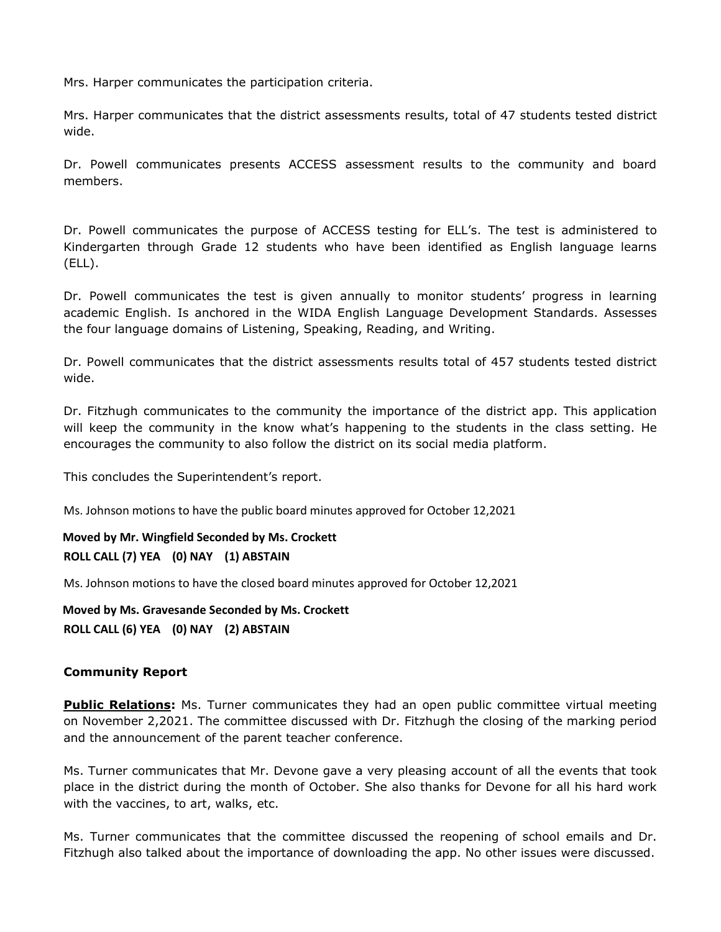Mrs. Harper communicates the participation criteria.

Mrs. Harper communicates that the district assessments results, total of 47 students tested district wide.

Dr. Powell communicates presents ACCESS assessment results to the community and board members.

Dr. Powell communicates the purpose of ACCESS testing for ELL's. The test is administered to Kindergarten through Grade 12 students who have been identified as English language learns (ELL).

Dr. Powell communicates the test is given annually to monitor students' progress in learning academic English. Is anchored in the WIDA English Language Development Standards. Assesses the four language domains of Listening, Speaking, Reading, and Writing.

Dr. Powell communicates that the district assessments results total of 457 students tested district wide.

Dr. Fitzhugh communicates to the community the importance of the district app. This application will keep the community in the know what's happening to the students in the class setting. He encourages the community to also follow the district on its social media platform.

This concludes the Superintendent's report.

Ms. Johnson motions to have the public board minutes approved for October 12,2021

## **Moved by Mr. Wingfield Seconded by Ms. Crockett ROLL CALL (7) YEA (0) NAY (1) ABSTAIN**

Ms. Johnson motions to have the closed board minutes approved for October 12,2021

**Moved by Ms. Gravesande Seconded by Ms. Crockett ROLL CALL (6) YEA (0) NAY (2) ABSTAIN** 

#### **Community Report**

**Public Relations:** Ms. Turner communicates they had an open public committee virtual meeting on November 2,2021. The committee discussed with Dr. Fitzhugh the closing of the marking period and the announcement of the parent teacher conference.

Ms. Turner communicates that Mr. Devone gave a very pleasing account of all the events that took place in the district during the month of October. She also thanks for Devone for all his hard work with the vaccines, to art, walks, etc.

Ms. Turner communicates that the committee discussed the reopening of school emails and Dr. Fitzhugh also talked about the importance of downloading the app. No other issues were discussed.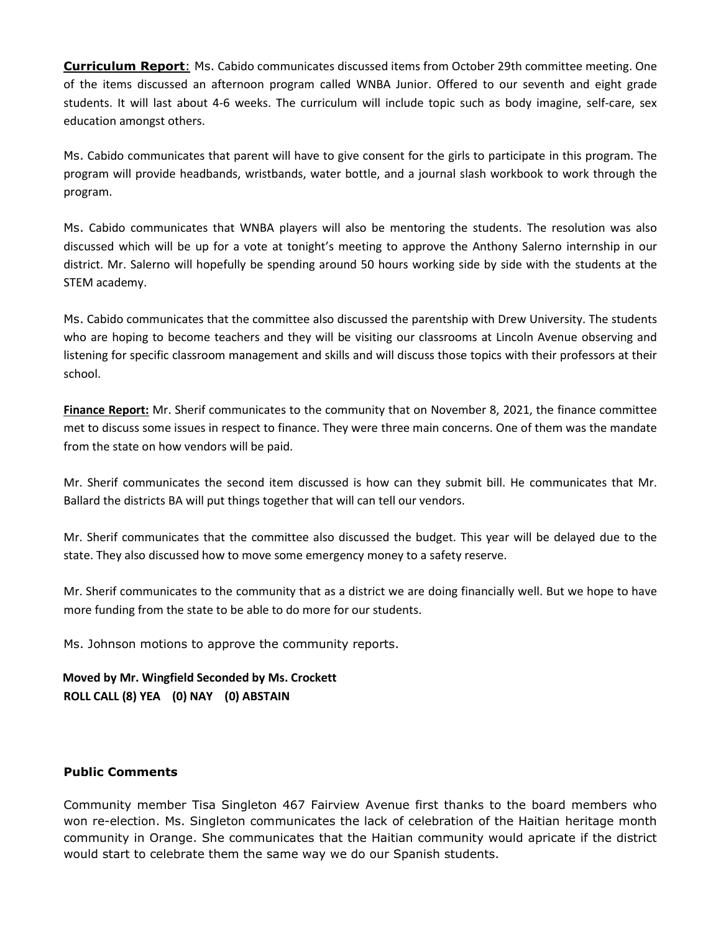**Curriculum Report**: Ms. Cabido communicates discussed items from October 29th committee meeting. One of the items discussed an afternoon program called WNBA Junior. Offered to our seventh and eight grade students. It will last about 4-6 weeks. The curriculum will include topic such as body imagine, self-care, sex education amongst others.

Ms. Cabido communicates that parent will have to give consent for the girls to participate in this program. The program will provide headbands, wristbands, water bottle, and a journal slash workbook to work through the program.

Ms. Cabido communicates that WNBA players will also be mentoring the students. The resolution was also discussed which will be up for a vote at tonight's meeting to approve the Anthony Salerno internship in our district. Mr. Salerno will hopefully be spending around 50 hours working side by side with the students at the STEM academy.

Ms. Cabido communicates that the committee also discussed the parentship with Drew University. The students who are hoping to become teachers and they will be visiting our classrooms at Lincoln Avenue observing and listening for specific classroom management and skills and will discuss those topics with their professors at their school.

**Finance Report:** Mr. Sherif communicates to the community that on November 8, 2021, the finance committee met to discuss some issues in respect to finance. They were three main concerns. One of them was the mandate from the state on how vendors will be paid.

Mr. Sherif communicates the second item discussed is how can they submit bill. He communicates that Mr. Ballard the districts BA will put things together that will can tell our vendors.

Mr. Sherif communicates that the committee also discussed the budget. This year will be delayed due to the state. They also discussed how to move some emergency money to a safety reserve.

Mr. Sherif communicates to the community that as a district we are doing financially well. But we hope to have more funding from the state to be able to do more for our students.

Ms. Johnson motions to approve the community reports.

**Moved by Mr. Wingfield Seconded by Ms. Crockett ROLL CALL (8) YEA (0) NAY (0) ABSTAIN** 

### **Public Comments**

Community member Tisa Singleton 467 Fairview Avenue first thanks to the board members who won re-election. Ms. Singleton communicates the lack of celebration of the Haitian heritage month community in Orange. She communicates that the Haitian community would apricate if the district would start to celebrate them the same way we do our Spanish students.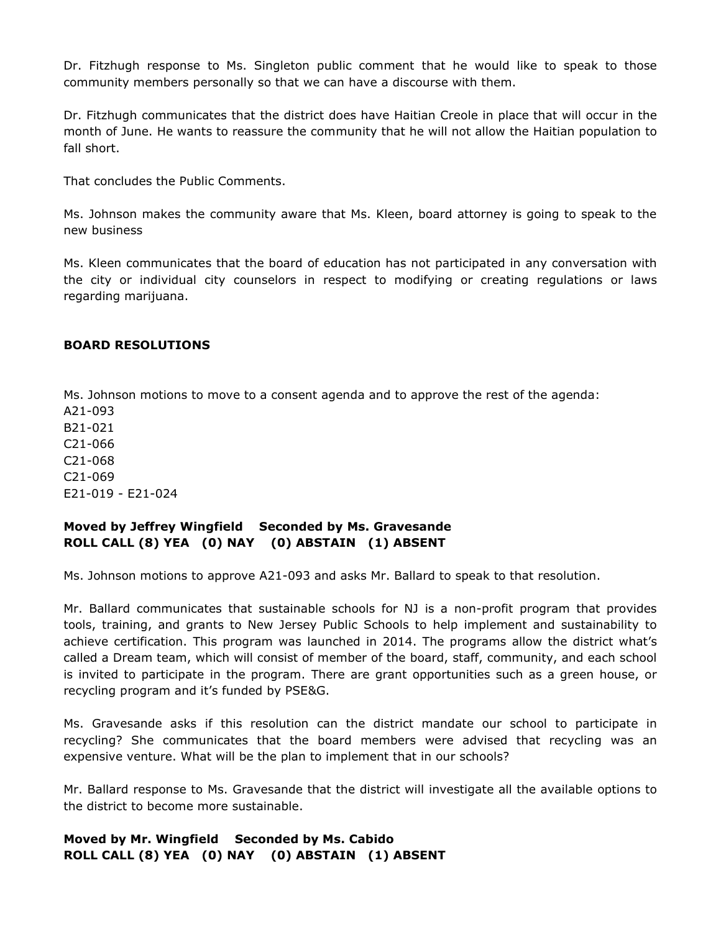Dr. Fitzhugh response to Ms. Singleton public comment that he would like to speak to those community members personally so that we can have a discourse with them.

Dr. Fitzhugh communicates that the district does have Haitian Creole in place that will occur in the month of June. He wants to reassure the community that he will not allow the Haitian population to fall short.

That concludes the Public Comments.

Ms. Johnson makes the community aware that Ms. Kleen, board attorney is going to speak to the new business

Ms. Kleen communicates that the board of education has not participated in any conversation with the city or individual city counselors in respect to modifying or creating regulations or laws regarding marijuana.

#### **BOARD RESOLUTIONS**

Ms. Johnson motions to move to a consent agenda and to approve the rest of the agenda:

A21-093 B21-021 C21-066 C21-068 C21-069 E21-019 - E21-024

### **Moved by Jeffrey Wingfield Seconded by Ms. Gravesande ROLL CALL (8) YEA (0) NAY (0) ABSTAIN (1) ABSENT**

Ms. Johnson motions to approve A21-093 and asks Mr. Ballard to speak to that resolution.

Mr. Ballard communicates that sustainable schools for NJ is a non-profit program that provides tools, training, and grants to New Jersey Public Schools to help implement and sustainability to achieve certification. This program was launched in 2014. The programs allow the district what's called a Dream team, which will consist of member of the board, staff, community, and each school is invited to participate in the program. There are grant opportunities such as a green house, or recycling program and it's funded by PSE&G.

Ms. Gravesande asks if this resolution can the district mandate our school to participate in recycling? She communicates that the board members were advised that recycling was an expensive venture. What will be the plan to implement that in our schools?

Mr. Ballard response to Ms. Gravesande that the district will investigate all the available options to the district to become more sustainable.

**Moved by Mr. Wingfield Seconded by Ms. Cabido ROLL CALL (8) YEA (0) NAY (0) ABSTAIN (1) ABSENT**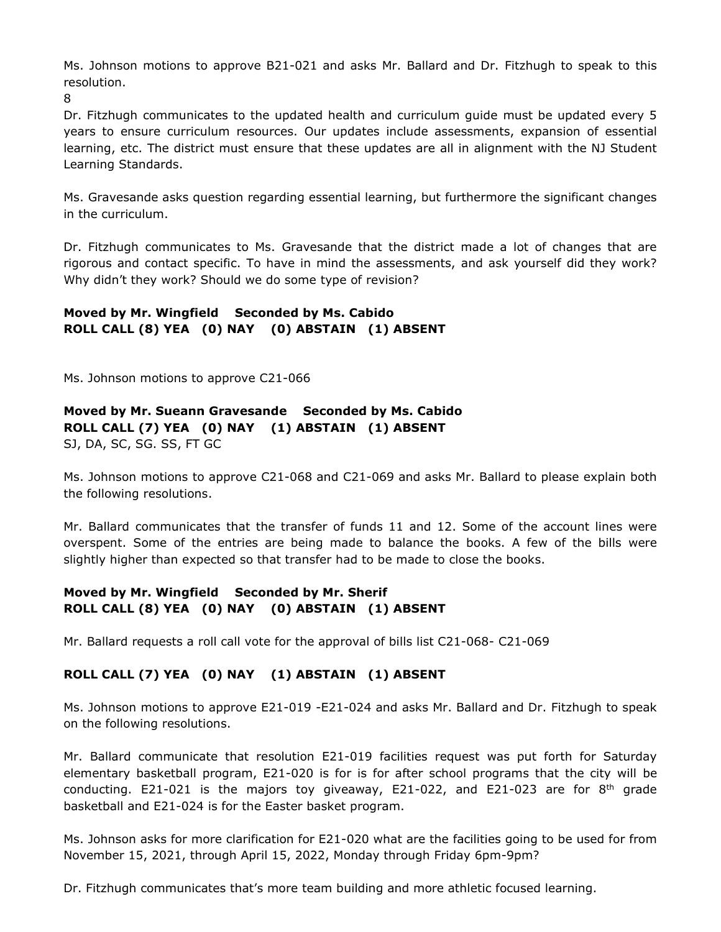Ms. Johnson motions to approve B21-021 and asks Mr. Ballard and Dr. Fitzhugh to speak to this resolution.

8

Dr. Fitzhugh communicates to the updated health and curriculum guide must be updated every 5 years to ensure curriculum resources. Our updates include assessments, expansion of essential learning, etc. The district must ensure that these updates are all in alignment with the NJ Student Learning Standards.

Ms. Gravesande asks question regarding essential learning, but furthermore the significant changes in the curriculum.

Dr. Fitzhugh communicates to Ms. Gravesande that the district made a lot of changes that are rigorous and contact specific. To have in mind the assessments, and ask yourself did they work? Why didn't they work? Should we do some type of revision?

# **Moved by Mr. Wingfield Seconded by Ms. Cabido ROLL CALL (8) YEA (0) NAY (0) ABSTAIN (1) ABSENT**

Ms. Johnson motions to approve C21-066

# **Moved by Mr. Sueann Gravesande Seconded by Ms. Cabido ROLL CALL (7) YEA (0) NAY (1) ABSTAIN (1) ABSENT** SJ, DA, SC, SG. SS, FT GC

Ms. Johnson motions to approve C21-068 and C21-069 and asks Mr. Ballard to please explain both the following resolutions.

Mr. Ballard communicates that the transfer of funds 11 and 12. Some of the account lines were overspent. Some of the entries are being made to balance the books. A few of the bills were slightly higher than expected so that transfer had to be made to close the books.

# **Moved by Mr. Wingfield Seconded by Mr. Sherif ROLL CALL (8) YEA (0) NAY (0) ABSTAIN (1) ABSENT**

Mr. Ballard requests a roll call vote for the approval of bills list C21-068- C21-069

# **ROLL CALL (7) YEA (0) NAY (1) ABSTAIN (1) ABSENT**

Ms. Johnson motions to approve E21-019 -E21-024 and asks Mr. Ballard and Dr. Fitzhugh to speak on the following resolutions.

Mr. Ballard communicate that resolution E21-019 facilities request was put forth for Saturday elementary basketball program, E21-020 is for is for after school programs that the city will be conducting. E21-021 is the majors toy giveaway, E21-022, and E21-023 are for  $8<sup>th</sup>$  grade basketball and E21-024 is for the Easter basket program.

Ms. Johnson asks for more clarification for E21-020 what are the facilities going to be used for from November 15, 2021, through April 15, 2022, Monday through Friday 6pm-9pm?

Dr. Fitzhugh communicates that's more team building and more athletic focused learning.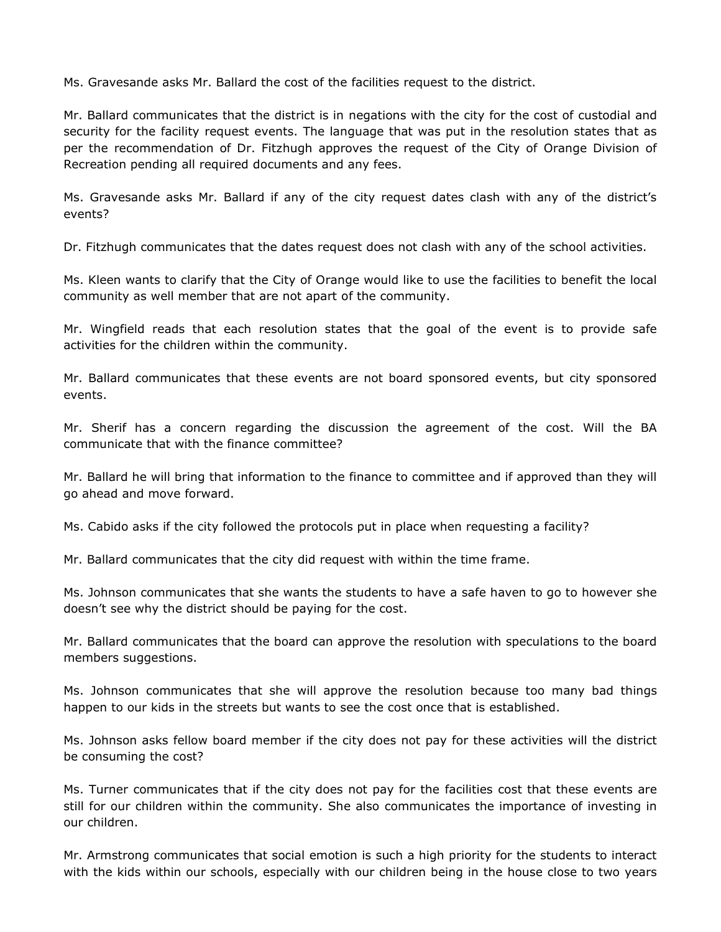Ms. Gravesande asks Mr. Ballard the cost of the facilities request to the district.

Mr. Ballard communicates that the district is in negations with the city for the cost of custodial and security for the facility request events. The language that was put in the resolution states that as per the recommendation of Dr. Fitzhugh approves the request of the City of Orange Division of Recreation pending all required documents and any fees.

Ms. Gravesande asks Mr. Ballard if any of the city request dates clash with any of the district's events?

Dr. Fitzhugh communicates that the dates request does not clash with any of the school activities.

Ms. Kleen wants to clarify that the City of Orange would like to use the facilities to benefit the local community as well member that are not apart of the community.

Mr. Wingfield reads that each resolution states that the goal of the event is to provide safe activities for the children within the community.

Mr. Ballard communicates that these events are not board sponsored events, but city sponsored events.

Mr. Sherif has a concern regarding the discussion the agreement of the cost. Will the BA communicate that with the finance committee?

Mr. Ballard he will bring that information to the finance to committee and if approved than they will go ahead and move forward.

Ms. Cabido asks if the city followed the protocols put in place when requesting a facility?

Mr. Ballard communicates that the city did request with within the time frame.

Ms. Johnson communicates that she wants the students to have a safe haven to go to however she doesn't see why the district should be paying for the cost.

Mr. Ballard communicates that the board can approve the resolution with speculations to the board members suggestions.

Ms. Johnson communicates that she will approve the resolution because too many bad things happen to our kids in the streets but wants to see the cost once that is established.

Ms. Johnson asks fellow board member if the city does not pay for these activities will the district be consuming the cost?

Ms. Turner communicates that if the city does not pay for the facilities cost that these events are still for our children within the community. She also communicates the importance of investing in our children.

Mr. Armstrong communicates that social emotion is such a high priority for the students to interact with the kids within our schools, especially with our children being in the house close to two years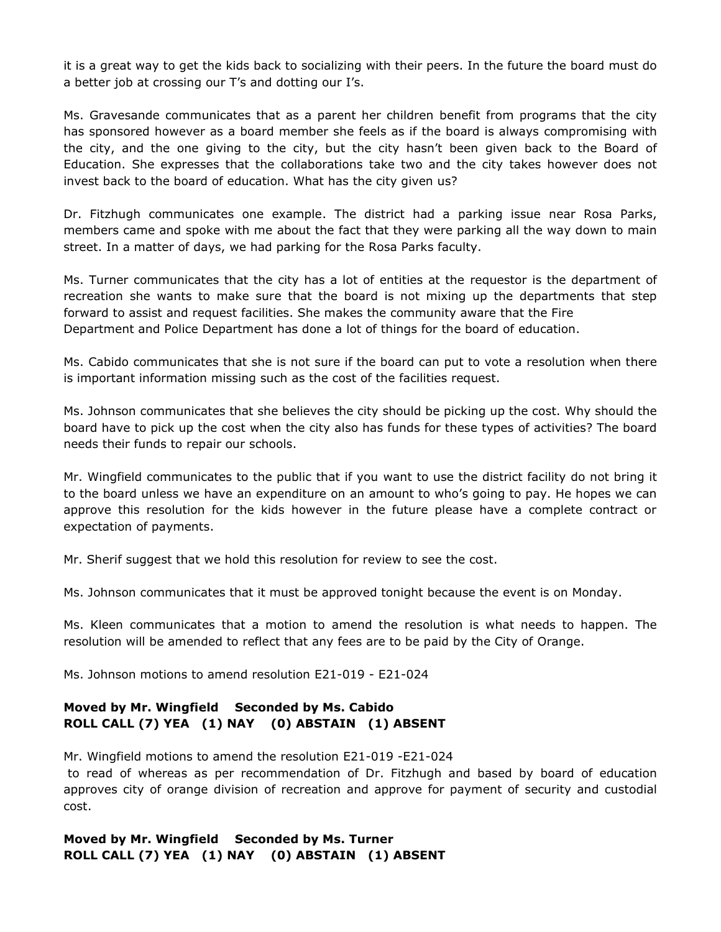it is a great way to get the kids back to socializing with their peers. In the future the board must do a better job at crossing our T's and dotting our I's.

Ms. Gravesande communicates that as a parent her children benefit from programs that the city has sponsored however as a board member she feels as if the board is always compromising with the city, and the one giving to the city, but the city hasn't been given back to the Board of Education. She expresses that the collaborations take two and the city takes however does not invest back to the board of education. What has the city given us?

Dr. Fitzhugh communicates one example. The district had a parking issue near Rosa Parks, members came and spoke with me about the fact that they were parking all the way down to main street. In a matter of days, we had parking for the Rosa Parks faculty.

Ms. Turner communicates that the city has a lot of entities at the requestor is the department of recreation she wants to make sure that the board is not mixing up the departments that step forward to assist and request facilities. She makes the community aware that the Fire Department and Police Department has done a lot of things for the board of education.

Ms. Cabido communicates that she is not sure if the board can put to vote a resolution when there is important information missing such as the cost of the facilities request.

Ms. Johnson communicates that she believes the city should be picking up the cost. Why should the board have to pick up the cost when the city also has funds for these types of activities? The board needs their funds to repair our schools.

Mr. Wingfield communicates to the public that if you want to use the district facility do not bring it to the board unless we have an expenditure on an amount to who's going to pay. He hopes we can approve this resolution for the kids however in the future please have a complete contract or expectation of payments.

Mr. Sherif suggest that we hold this resolution for review to see the cost.

Ms. Johnson communicates that it must be approved tonight because the event is on Monday.

Ms. Kleen communicates that a motion to amend the resolution is what needs to happen. The resolution will be amended to reflect that any fees are to be paid by the City of Orange.

Ms. Johnson motions to amend resolution E21-019 - E21-024

# **Moved by Mr. Wingfield Seconded by Ms. Cabido ROLL CALL (7) YEA (1) NAY (0) ABSTAIN (1) ABSENT**

Mr. Wingfield motions to amend the resolution E21-019 -E21-024

to read of whereas as per recommendation of Dr. Fitzhugh and based by board of education approves city of orange division of recreation and approve for payment of security and custodial cost.

**Moved by Mr. Wingfield Seconded by Ms. Turner ROLL CALL (7) YEA (1) NAY (0) ABSTAIN (1) ABSENT**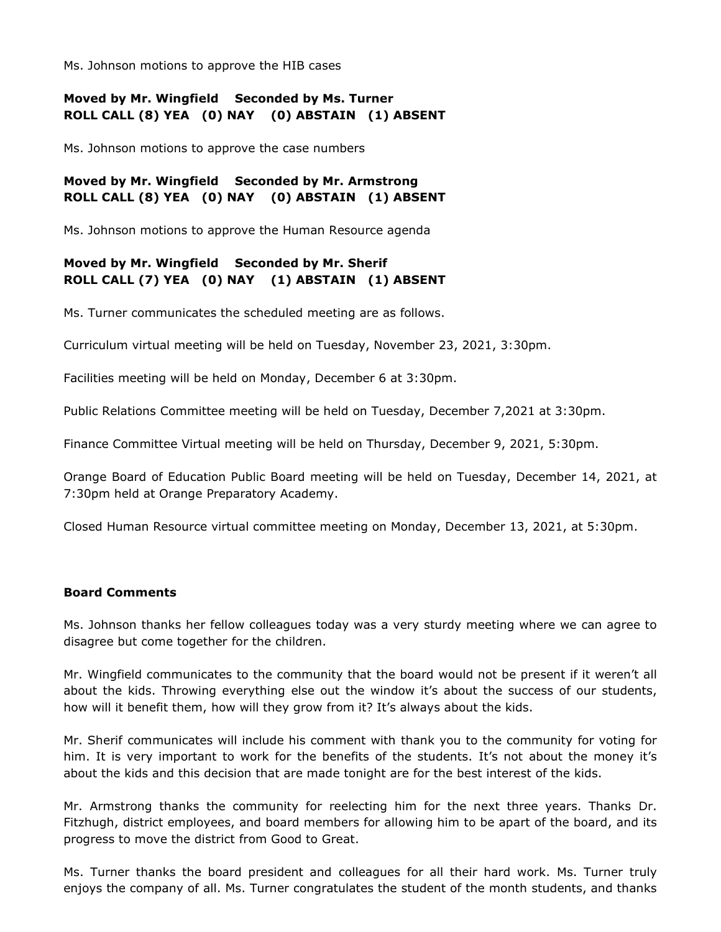Ms. Johnson motions to approve the HIB cases

### **Moved by Mr. Wingfield Seconded by Ms. Turner ROLL CALL (8) YEA (0) NAY (0) ABSTAIN (1) ABSENT**

Ms. Johnson motions to approve the case numbers

# **Moved by Mr. Wingfield Seconded by Mr. Armstrong ROLL CALL (8) YEA (0) NAY (0) ABSTAIN (1) ABSENT**

Ms. Johnson motions to approve the Human Resource agenda

## **Moved by Mr. Wingfield Seconded by Mr. Sherif ROLL CALL (7) YEA (0) NAY (1) ABSTAIN (1) ABSENT**

Ms. Turner communicates the scheduled meeting are as follows.

Curriculum virtual meeting will be held on Tuesday, November 23, 2021, 3:30pm.

Facilities meeting will be held on Monday, December 6 at 3:30pm.

Public Relations Committee meeting will be held on Tuesday, December 7,2021 at 3:30pm.

Finance Committee Virtual meeting will be held on Thursday, December 9, 2021, 5:30pm.

Orange Board of Education Public Board meeting will be held on Tuesday, December 14, 2021, at 7:30pm held at Orange Preparatory Academy.

Closed Human Resource virtual committee meeting on Monday, December 13, 2021, at 5:30pm.

#### **Board Comments**

Ms. Johnson thanks her fellow colleagues today was a very sturdy meeting where we can agree to disagree but come together for the children.

Mr. Wingfield communicates to the community that the board would not be present if it weren't all about the kids. Throwing everything else out the window it's about the success of our students, how will it benefit them, how will they grow from it? It's always about the kids.

Mr. Sherif communicates will include his comment with thank you to the community for voting for him. It is very important to work for the benefits of the students. It's not about the money it's about the kids and this decision that are made tonight are for the best interest of the kids.

Mr. Armstrong thanks the community for reelecting him for the next three years. Thanks Dr. Fitzhugh, district employees, and board members for allowing him to be apart of the board, and its progress to move the district from Good to Great.

Ms. Turner thanks the board president and colleagues for all their hard work. Ms. Turner truly enjoys the company of all. Ms. Turner congratulates the student of the month students, and thanks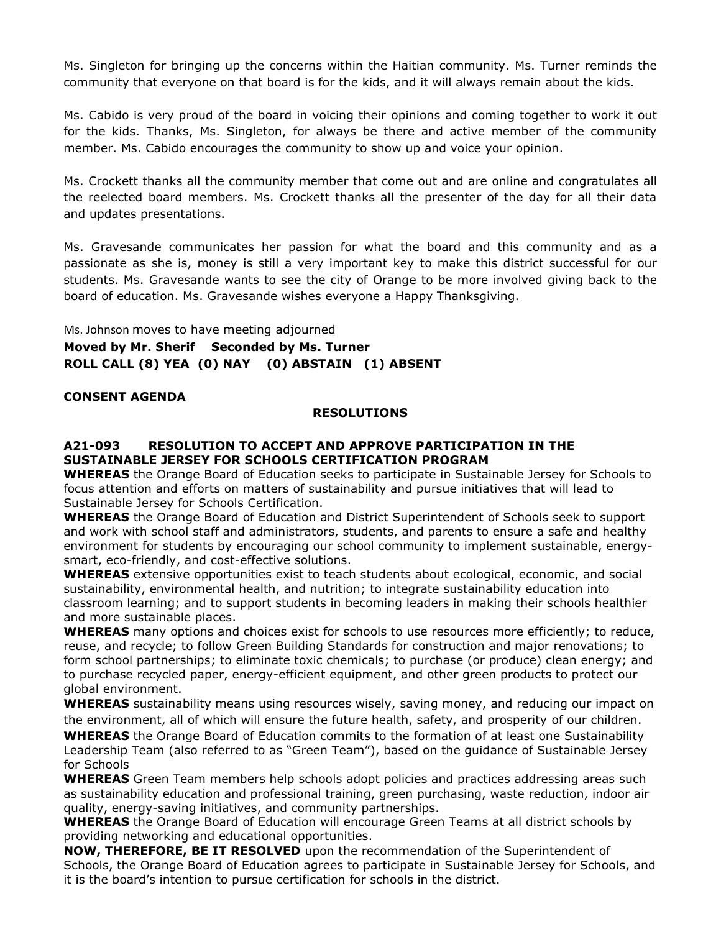Ms. Singleton for bringing up the concerns within the Haitian community. Ms. Turner reminds the community that everyone on that board is for the kids, and it will always remain about the kids.

Ms. Cabido is very proud of the board in voicing their opinions and coming together to work it out for the kids. Thanks, Ms. Singleton, for always be there and active member of the community member. Ms. Cabido encourages the community to show up and voice your opinion.

Ms. Crockett thanks all the community member that come out and are online and congratulates all the reelected board members. Ms. Crockett thanks all the presenter of the day for all their data and updates presentations.

Ms. Gravesande communicates her passion for what the board and this community and as a passionate as she is, money is still a very important key to make this district successful for our students. Ms. Gravesande wants to see the city of Orange to be more involved giving back to the board of education. Ms. Gravesande wishes everyone a Happy Thanksgiving.

# Ms. Johnson moves to have meeting adjourned **Moved by Mr. Sherif Seconded by Ms. Turner ROLL CALL (8) YEA (0) NAY (0) ABSTAIN (1) ABSENT**

#### **CONSENT AGENDA**

#### **RESOLUTIONS**

### **A21-093 RESOLUTION TO ACCEPT AND APPROVE PARTICIPATION IN THE SUSTAINABLE JERSEY FOR SCHOOLS CERTIFICATION PROGRAM**

**WHEREAS** the Orange Board of Education seeks to participate in Sustainable Jersey for Schools to focus attention and efforts on matters of sustainability and pursue initiatives that will lead to Sustainable Jersey for Schools Certification.

**WHEREAS** the Orange Board of Education and District Superintendent of Schools seek to support and work with school staff and administrators, students, and parents to ensure a safe and healthy environment for students by encouraging our school community to implement sustainable, energysmart, eco-friendly, and cost-effective solutions.

**WHEREAS** extensive opportunities exist to teach students about ecological, economic, and social sustainability, environmental health, and nutrition; to integrate sustainability education into classroom learning; and to support students in becoming leaders in making their schools healthier and more sustainable places.

**WHEREAS** many options and choices exist for schools to use resources more efficiently; to reduce, reuse, and recycle; to follow Green Building Standards for construction and major renovations; to form school partnerships; to eliminate toxic chemicals; to purchase (or produce) clean energy; and to purchase recycled paper, energy-efficient equipment, and other green products to protect our global environment.

**WHEREAS** sustainability means using resources wisely, saving money, and reducing our impact on the environment, all of which will ensure the future health, safety, and prosperity of our children.

**WHEREAS** the Orange Board of Education commits to the formation of at least one Sustainability Leadership Team (also referred to as "Green Team"), based on the guidance of Sustainable Jersey for Schools

**WHEREAS** Green Team members help schools adopt policies and practices addressing areas such as sustainability education and professional training, green purchasing, waste reduction, indoor air quality, energy-saving initiatives, and community partnerships.

**WHEREAS** the Orange Board of Education will encourage Green Teams at all district schools by providing networking and educational opportunities.

**NOW, THEREFORE, BE IT RESOLVED** upon the recommendation of the Superintendent of Schools, the Orange Board of Education agrees to participate in Sustainable Jersey for Schools, and it is the board's intention to pursue certification for schools in the district.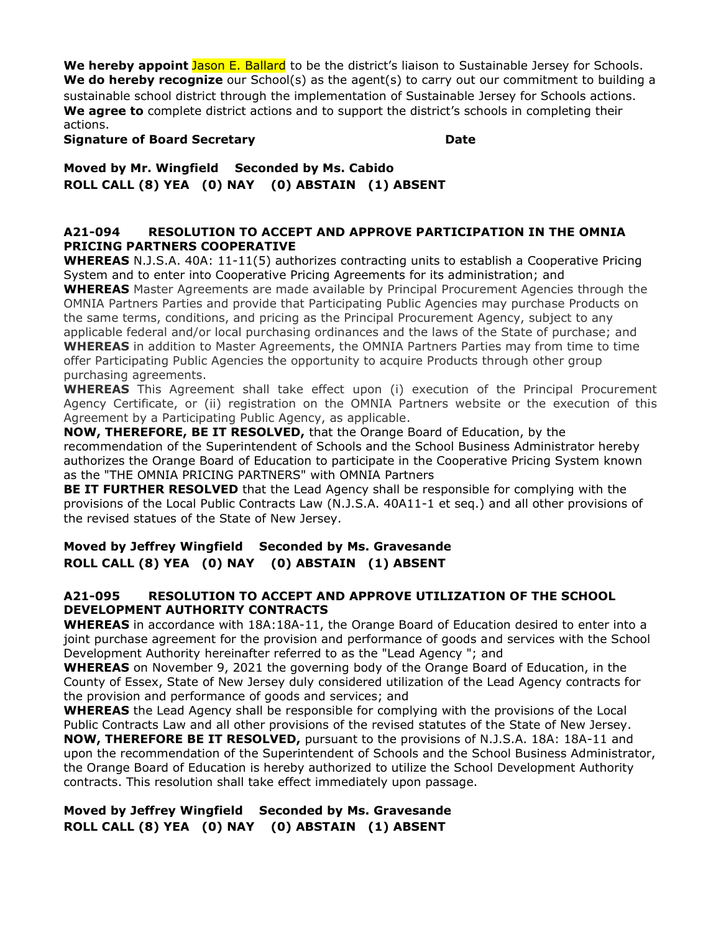**We hereby appoint** Jason E. Ballard to be the district's liaison to Sustainable Jersey for Schools. **We do hereby recognize** our School(s) as the agent(s) to carry out our commitment to building a sustainable school district through the implementation of Sustainable Jersey for Schools actions. **We agree to** complete district actions and to support the district's schools in completing their actions.

**Signature of Board Secretary**  The Community of the Date

**Moved by Mr. Wingfield Seconded by Ms. Cabido ROLL CALL (8) YEA (0) NAY (0) ABSTAIN (1) ABSENT**

### **A21-094 RESOLUTION TO ACCEPT AND APPROVE PARTICIPATION IN THE OMNIA PRICING PARTNERS COOPERATIVE**

**WHEREAS** N.J.S.A. 40A: 11-11(5) authorizes contracting units to establish a Cooperative Pricing System and to enter into Cooperative Pricing Agreements for its administration; and **WHEREAS** Master Agreements are made available by Principal Procurement Agencies through the OMNIA Partners Parties and provide that Participating Public Agencies may purchase Products on the same terms, conditions, and pricing as the Principal Procurement Agency, subject to any applicable federal and/or local purchasing ordinances and the laws of the State of purchase; and **WHEREAS** in addition to Master Agreements, the OMNIA Partners Parties may from time to time offer Participating Public Agencies the opportunity to acquire Products through other group purchasing agreements.

**WHEREAS** This Agreement shall take effect upon (i) execution of the Principal Procurement Agency Certificate, or (ii) registration on the OMNIA Partners website or the execution of this Agreement by a Participating Public Agency, as applicable.

**NOW, THEREFORE, BE IT RESOLVED,** that the Orange Board of Education, by the recommendation of the Superintendent of Schools and the School Business Administrator hereby authorizes the Orange Board of Education to participate in the Cooperative Pricing System known as the "THE OMNIA PRICING PARTNERS" with OMNIA Partners

**BE IT FURTHER RESOLVED** that the Lead Agency shall be responsible for complying with the provisions of the Local Public Contracts Law (N.J.S.A. 40A11-1 et seq.) and all other provisions of the revised statues of the State of New Jersey.

# **Moved by Jeffrey Wingfield Seconded by Ms. Gravesande ROLL CALL (8) YEA (0) NAY (0) ABSTAIN (1) ABSENT**

### **A21-095 RESOLUTION TO ACCEPT AND APPROVE UTILIZATION OF THE SCHOOL DEVELOPMENT AUTHORITY CONTRACTS**

**WHEREAS** in accordance with 18A:18A-11, the Orange Board of Education desired to enter into a joint purchase agreement for the provision and performance of goods and services with the School Development Authority hereinafter referred to as the "Lead Agency "; and

**WHEREAS** on November 9, 2021 the governing body of the Orange Board of Education, in the County of Essex, State of New Jersey duly considered utilization of the Lead Agency contracts for the provision and performance of goods and services; and

**WHEREAS** the Lead Agency shall be responsible for complying with the provisions of the Local Public Contracts Law and all other provisions of the revised statutes of the State of New Jersey. **NOW, THEREFORE BE IT RESOLVED,** pursuant to the provisions of N.J.S.A. 18A: 18A-11 and upon the recommendation of the Superintendent of Schools and the School Business Administrator, the Orange Board of Education is hereby authorized to utilize the School Development Authority contracts. This resolution shall take effect immediately upon passage.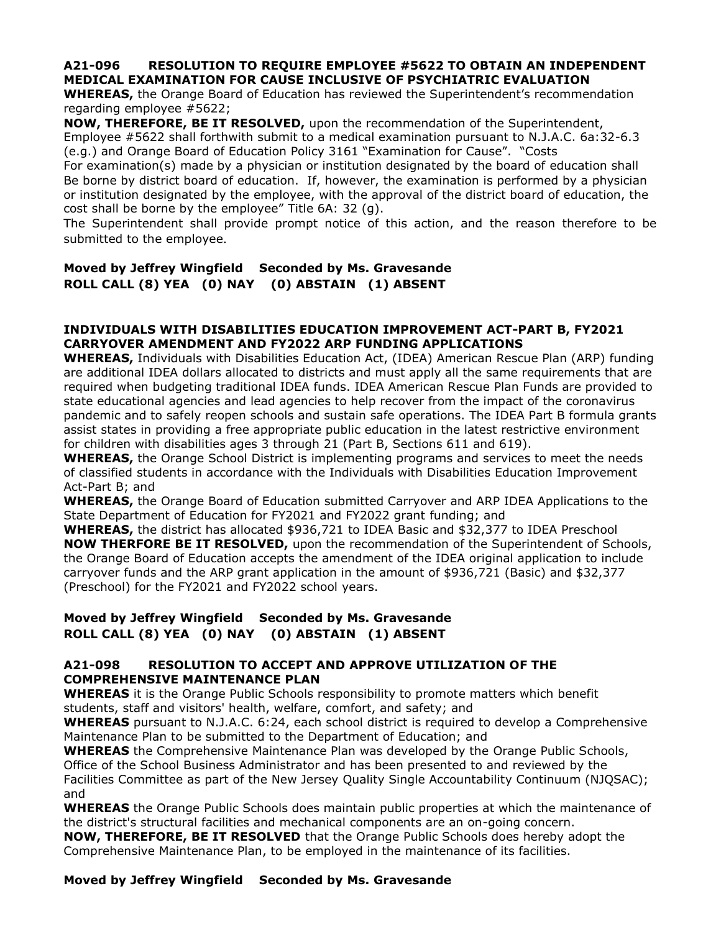### **A21-096 RESOLUTION TO REQUIRE EMPLOYEE #5622 TO OBTAIN AN INDEPENDENT MEDICAL EXAMINATION FOR CAUSE INCLUSIVE OF PSYCHIATRIC EVALUATION**

**WHEREAS,** the Orange Board of Education has reviewed the Superintendent's recommendation regarding employee #5622;

**NOW, THEREFORE, BE IT RESOLVED,** upon the recommendation of the Superintendent, Employee #5622 shall forthwith submit to a medical examination pursuant to N.J.A.C. 6a:32-6.3 (e.g.) and Orange Board of Education Policy 3161 "Examination for Cause". "Costs

For examination(s) made by a physician or institution designated by the board of education shall Be borne by district board of education. If, however, the examination is performed by a physician or institution designated by the employee, with the approval of the district board of education, the cost shall be borne by the employee" Title 6A: 32 (g).

The Superintendent shall provide prompt notice of this action, and the reason therefore to be submitted to the employee.

# **Moved by Jeffrey Wingfield Seconded by Ms. Gravesande ROLL CALL (8) YEA (0) NAY (0) ABSTAIN (1) ABSENT**

#### **INDIVIDUALS WITH DISABILITIES EDUCATION IMPROVEMENT ACT-PART B, FY2021 CARRYOVER AMENDMENT AND FY2022 ARP FUNDING APPLICATIONS**

**WHEREAS,** Individuals with Disabilities Education Act, (IDEA) American Rescue Plan (ARP) funding are additional IDEA dollars allocated to districts and must apply all the same requirements that are required when budgeting traditional IDEA funds. IDEA American Rescue Plan Funds are provided to state educational agencies and lead agencies to help recover from the impact of the coronavirus pandemic and to safely reopen schools and sustain safe operations. The IDEA Part B formula grants assist states in providing a free appropriate public education in the latest restrictive environment for children with disabilities ages 3 through 21 (Part B, Sections 611 and 619).

**WHEREAS,** the Orange School District is implementing programs and services to meet the needs of classified students in accordance with the Individuals with Disabilities Education Improvement Act-Part B; and

**WHEREAS,** the Orange Board of Education submitted Carryover and ARP IDEA Applications to the State Department of Education for FY2021 and FY2022 grant funding; and

**WHEREAS,** the district has allocated \$936,721 to IDEA Basic and \$32,377 to IDEA Preschool **NOW THERFORE BE IT RESOLVED,** upon the recommendation of the Superintendent of Schools, the Orange Board of Education accepts the amendment of the IDEA original application to include carryover funds and the ARP grant application in the amount of \$936,721 (Basic) and \$32,377 (Preschool) for the FY2021 and FY2022 school years.

### **Moved by Jeffrey Wingfield Seconded by Ms. Gravesande ROLL CALL (8) YEA (0) NAY (0) ABSTAIN (1) ABSENT**

### **A21-098 RESOLUTION TO ACCEPT AND APPROVE UTILIZATION OF THE COMPREHENSIVE MAINTENANCE PLAN**

**WHEREAS** it is the Orange Public Schools responsibility to promote matters which benefit students, staff and visitors' health, welfare, comfort, and safety; and

**WHEREAS** pursuant to N.J.A.C. 6:24, each school district is required to develop a Comprehensive Maintenance Plan to be submitted to the Department of Education; and

**WHEREAS** the Comprehensive Maintenance Plan was developed by the Orange Public Schools, Office of the School Business Administrator and has been presented to and reviewed by the Facilities Committee as part of the New Jersey Quality Single Accountability Continuum (NJQSAC); and

**WHEREAS** the Orange Public Schools does maintain public properties at which the maintenance of the district's structural facilities and mechanical components are an on-going concern.

**NOW, THEREFORE, BE IT RESOLVED** that the Orange Public Schools does hereby adopt the Comprehensive Maintenance Plan, to be employed in the maintenance of its facilities.

# **Moved by Jeffrey Wingfield Seconded by Ms. Gravesande**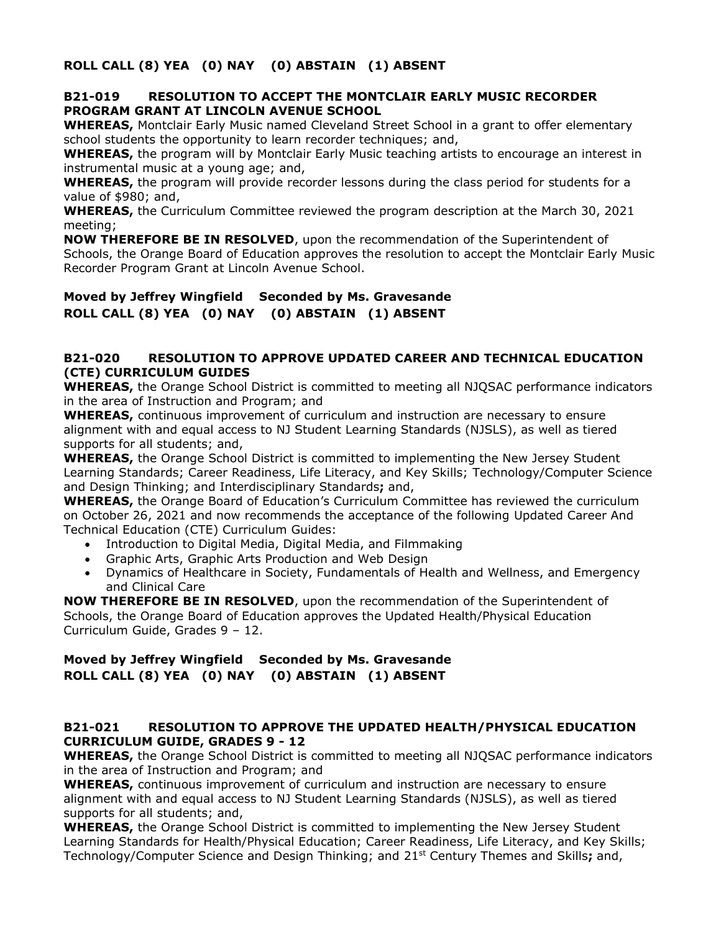**ROLL CALL (8) YEA (0) NAY (0) ABSTAIN (1) ABSENT**

#### **B21-019 RESOLUTION TO ACCEPT THE MONTCLAIR EARLY MUSIC RECORDER PROGRAM GRANT AT LINCOLN AVENUE SCHOOL**

**WHEREAS,** Montclair Early Music named Cleveland Street School in a grant to offer elementary school students the opportunity to learn recorder techniques; and,

**WHEREAS,** the program will by Montclair Early Music teaching artists to encourage an interest in instrumental music at a young age; and,

**WHEREAS,** the program will provide recorder lessons during the class period for students for a value of \$980; and,

**WHEREAS,** the Curriculum Committee reviewed the program description at the March 30, 2021 meeting;

**NOW THEREFORE BE IN RESOLVED**, upon the recommendation of the Superintendent of Schools, the Orange Board of Education approves the resolution to accept the Montclair Early Music Recorder Program Grant at Lincoln Avenue School.

**Moved by Jeffrey Wingfield Seconded by Ms. Gravesande ROLL CALL (8) YEA (0) NAY (0) ABSTAIN (1) ABSENT**

#### **B21-020 RESOLUTION TO APPROVE UPDATED CAREER AND TECHNICAL EDUCATION (CTE) CURRICULUM GUIDES**

**WHEREAS,** the Orange School District is committed to meeting all NJQSAC performance indicators in the area of Instruction and Program; and

**WHEREAS,** continuous improvement of curriculum and instruction are necessary to ensure alignment with and equal access to NJ Student Learning Standards (NJSLS), as well as tiered supports for all students; and,

**WHEREAS,** the Orange School District is committed to implementing the New Jersey Student Learning Standards; Career Readiness, Life Literacy, and Key Skills; Technology/Computer Science and Design Thinking; and Interdisciplinary Standards**;** and,

**WHEREAS,** the Orange Board of Education's Curriculum Committee has reviewed the curriculum on October 26, 2021 and now recommends the acceptance of the following Updated Career And Technical Education (CTE) Curriculum Guides:

- Introduction to Digital Media, Digital Media, and Filmmaking
- Graphic Arts, Graphic Arts Production and Web Design
- Dynamics of Healthcare in Society, Fundamentals of Health and Wellness, and Emergency and Clinical Care

**NOW THEREFORE BE IN RESOLVED**, upon the recommendation of the Superintendent of Schools, the Orange Board of Education approves the Updated Health/Physical Education Curriculum Guide, Grades 9 – 12.

# **Moved by Jeffrey Wingfield Seconded by Ms. Gravesande ROLL CALL (8) YEA (0) NAY (0) ABSTAIN (1) ABSENT**

#### **B21-021 RESOLUTION TO APPROVE THE UPDATED HEALTH/PHYSICAL EDUCATION CURRICULUM GUIDE, GRADES 9 - 12**

**WHEREAS,** the Orange School District is committed to meeting all NJQSAC performance indicators in the area of Instruction and Program; and

**WHEREAS,** continuous improvement of curriculum and instruction are necessary to ensure alignment with and equal access to NJ Student Learning Standards (NJSLS), as well as tiered supports for all students; and,

**WHEREAS,** the Orange School District is committed to implementing the New Jersey Student Learning Standards for Health/Physical Education; Career Readiness, Life Literacy, and Key Skills; Technology/Computer Science and Design Thinking; and 21 st Century Themes and Skills**;** and,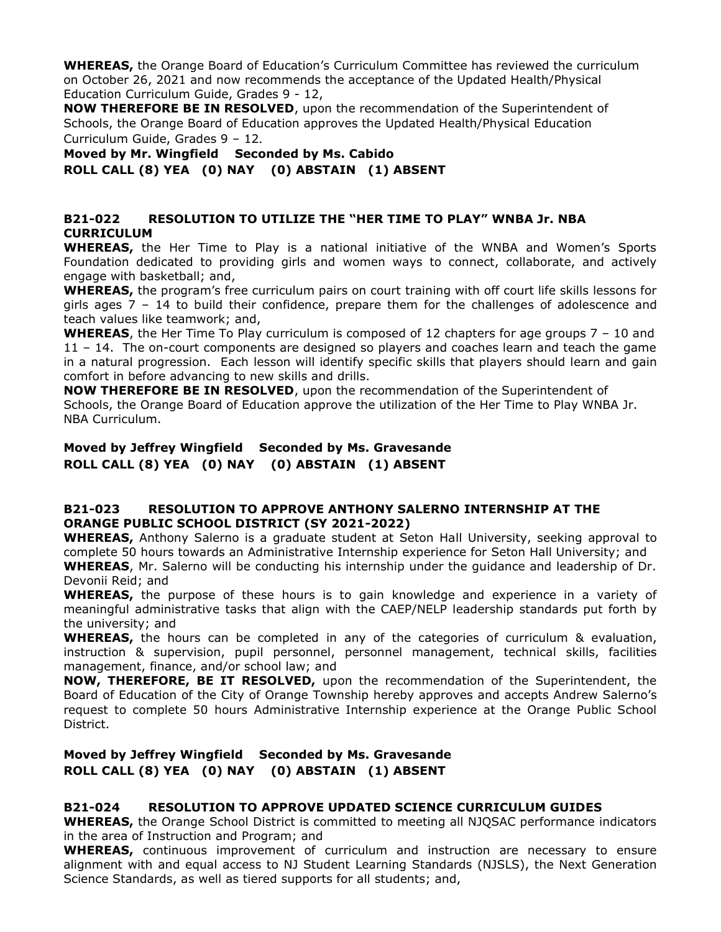**WHEREAS,** the Orange Board of Education's Curriculum Committee has reviewed the curriculum on October 26, 2021 and now recommends the acceptance of the Updated Health/Physical Education Curriculum Guide, Grades 9 - 12,

**NOW THEREFORE BE IN RESOLVED**, upon the recommendation of the Superintendent of Schools, the Orange Board of Education approves the Updated Health/Physical Education Curriculum Guide, Grades 9 – 12.

**Moved by Mr. Wingfield Seconded by Ms. Cabido**

**ROLL CALL (8) YEA (0) NAY (0) ABSTAIN (1) ABSENT**

## **B21-022 RESOLUTION TO UTILIZE THE "HER TIME TO PLAY" WNBA Jr. NBA CURRICULUM**

**WHEREAS,** the Her Time to Play is a national initiative of the WNBA and Women's Sports Foundation dedicated to providing girls and women ways to connect, collaborate, and actively engage with basketball; and,

**WHEREAS,** the program's free curriculum pairs on court training with off court life skills lessons for girls ages 7 – 14 to build their confidence, prepare them for the challenges of adolescence and teach values like teamwork; and,

**WHEREAS**, the Her Time To Play curriculum is composed of 12 chapters for age groups 7 – 10 and 11 – 14. The on-court components are designed so players and coaches learn and teach the game in a natural progression. Each lesson will identify specific skills that players should learn and gain comfort in before advancing to new skills and drills.

**NOW THEREFORE BE IN RESOLVED**, upon the recommendation of the Superintendent of Schools, the Orange Board of Education approve the utilization of the Her Time to Play WNBA Jr. NBA Curriculum.

# **Moved by Jeffrey Wingfield Seconded by Ms. Gravesande ROLL CALL (8) YEA (0) NAY (0) ABSTAIN (1) ABSENT**

#### **B21-023 RESOLUTION TO APPROVE ANTHONY SALERNO INTERNSHIP AT THE ORANGE PUBLIC SCHOOL DISTRICT (SY 2021-2022)**

**WHEREAS,** Anthony Salerno is a graduate student at Seton Hall University, seeking approval to complete 50 hours towards an Administrative Internship experience for Seton Hall University; and **WHEREAS**, Mr. Salerno will be conducting his internship under the guidance and leadership of Dr. Devonii Reid; and

**WHEREAS,** the purpose of these hours is to gain knowledge and experience in a variety of meaningful administrative tasks that align with the CAEP/NELP leadership standards put forth by the university; and

**WHEREAS,** the hours can be completed in any of the categories of curriculum & evaluation, instruction & supervision, pupil personnel, personnel management, technical skills, facilities management, finance, and/or school law; and

**NOW, THEREFORE, BE IT RESOLVED,** upon the recommendation of the Superintendent, the Board of Education of the City of Orange Township hereby approves and accepts Andrew Salerno's request to complete 50 hours Administrative Internship experience at the Orange Public School District.

# **Moved by Jeffrey Wingfield Seconded by Ms. Gravesande ROLL CALL (8) YEA (0) NAY (0) ABSTAIN (1) ABSENT**

### **B21-024 RESOLUTION TO APPROVE UPDATED SCIENCE CURRICULUM GUIDES**

**WHEREAS,** the Orange School District is committed to meeting all NJQSAC performance indicators in the area of Instruction and Program; and

**WHEREAS,** continuous improvement of curriculum and instruction are necessary to ensure alignment with and equal access to NJ Student Learning Standards (NJSLS), the Next Generation Science Standards, as well as tiered supports for all students; and,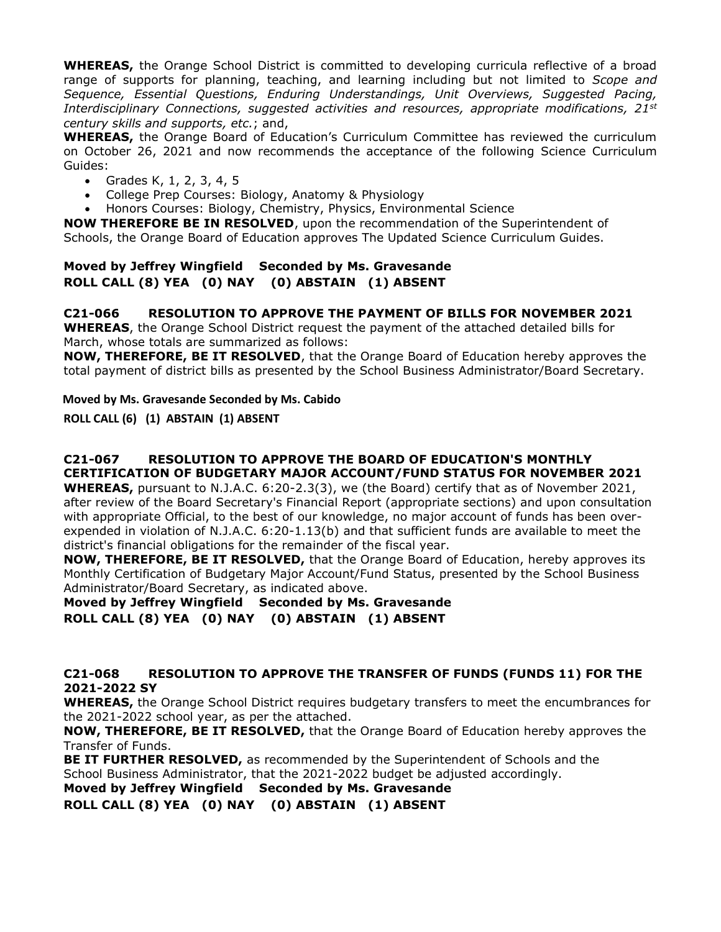**WHEREAS,** the Orange School District is committed to developing curricula reflective of a broad range of supports for planning, teaching, and learning including but not limited to *Scope and Sequence, Essential Questions, Enduring Understandings, Unit Overviews, Suggested Pacing, Interdisciplinary Connections, suggested activities and resources, appropriate modifications, 21st century skills and supports, etc.*; and,

**WHEREAS,** the Orange Board of Education's Curriculum Committee has reviewed the curriculum on October 26, 2021 and now recommends the acceptance of the following Science Curriculum Guides:

- Grades K, 1, 2, 3, 4, 5
- College Prep Courses: Biology, Anatomy & Physiology
- Honors Courses: Biology, Chemistry, Physics, Environmental Science

**NOW THEREFORE BE IN RESOLVED**, upon the recommendation of the Superintendent of Schools, the Orange Board of Education approves The Updated Science Curriculum Guides.

### **Moved by Jeffrey Wingfield Seconded by Ms. Gravesande ROLL CALL (8) YEA (0) NAY (0) ABSTAIN (1) ABSENT**

**C21-066 RESOLUTION TO APPROVE THE PAYMENT OF BILLS FOR NOVEMBER 2021**

**WHEREAS**, the Orange School District request the payment of the attached detailed bills for March, whose totals are summarized as follows:

**NOW, THEREFORE, BE IT RESOLVED**, that the Orange Board of Education hereby approves the total payment of district bills as presented by the School Business Administrator/Board Secretary.

#### **Moved by Ms. Gravesande Seconded by Ms. Cabido**

**ROLL CALL (6) (1) ABSTAIN (1) ABSENT**

# **C21-067 RESOLUTION TO APPROVE THE BOARD OF EDUCATION'S MONTHLY CERTIFICATION OF BUDGETARY MAJOR ACCOUNT/FUND STATUS FOR NOVEMBER 2021**

**WHEREAS,** pursuant to N.J.A.C. 6:20-2.3(3), we (the Board) certify that as of November 2021, after review of the Board Secretary's Financial Report (appropriate sections) and upon consultation with appropriate Official, to the best of our knowledge, no major account of funds has been overexpended in violation of N.J.A.C. 6:20-1.13(b) and that sufficient funds are available to meet the district's financial obligations for the remainder of the fiscal year.

**NOW, THEREFORE, BE IT RESOLVED,** that the Orange Board of Education, hereby approves its Monthly Certification of Budgetary Major Account/Fund Status, presented by the School Business Administrator/Board Secretary, as indicated above.

**Moved by Jeffrey Wingfield Seconded by Ms. Gravesande ROLL CALL (8) YEA (0) NAY (0) ABSTAIN (1) ABSENT**

### **C21-068 RESOLUTION TO APPROVE THE TRANSFER OF FUNDS (FUNDS 11) FOR THE 2021-2022 SY**

**WHEREAS,** the Orange School District requires budgetary transfers to meet the encumbrances for the 2021-2022 school year, as per the attached.

**NOW, THEREFORE, BE IT RESOLVED,** that the Orange Board of Education hereby approves the Transfer of Funds.

**BE IT FURTHER RESOLVED,** as recommended by the Superintendent of Schools and the School Business Administrator, that the 2021-2022 budget be adjusted accordingly.

**Moved by Jeffrey Wingfield Seconded by Ms. Gravesande**

**ROLL CALL (8) YEA (0) NAY (0) ABSTAIN (1) ABSENT**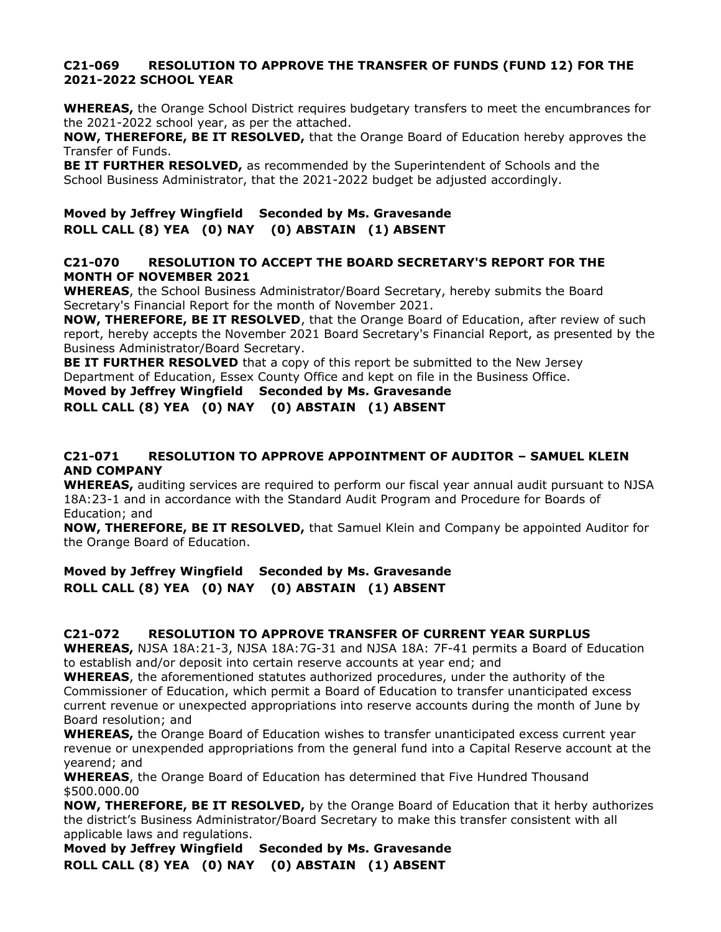#### **C21-069 RESOLUTION TO APPROVE THE TRANSFER OF FUNDS (FUND 12) FOR THE 2021-2022 SCHOOL YEAR**

**WHEREAS,** the Orange School District requires budgetary transfers to meet the encumbrances for the 2021-2022 school year, as per the attached.

**NOW, THEREFORE, BE IT RESOLVED,** that the Orange Board of Education hereby approves the Transfer of Funds.

**BE IT FURTHER RESOLVED,** as recommended by the Superintendent of Schools and the School Business Administrator, that the 2021-2022 budget be adjusted accordingly.

# **Moved by Jeffrey Wingfield Seconded by Ms. Gravesande ROLL CALL (8) YEA (0) NAY (0) ABSTAIN (1) ABSENT**

#### **C21-070 RESOLUTION TO ACCEPT THE BOARD SECRETARY'S REPORT FOR THE MONTH OF NOVEMBER 2021**

**WHEREAS**, the School Business Administrator/Board Secretary, hereby submits the Board Secretary's Financial Report for the month of November 2021.

**NOW, THEREFORE, BE IT RESOLVED**, that the Orange Board of Education, after review of such report, hereby accepts the November 2021 Board Secretary's Financial Report, as presented by the Business Administrator/Board Secretary.

**BE IT FURTHER RESOLVED** that a copy of this report be submitted to the New Jersey Department of Education, Essex County Office and kept on file in the Business Office.

**Moved by Jeffrey Wingfield Seconded by Ms. Gravesande**

**ROLL CALL (8) YEA (0) NAY (0) ABSTAIN (1) ABSENT**

### **C21-071 RESOLUTION TO APPROVE APPOINTMENT OF AUDITOR – SAMUEL KLEIN AND COMPANY**

**WHEREAS,** auditing services are required to perform our fiscal year annual audit pursuant to NJSA 18A:23-1 and in accordance with the Standard Audit Program and Procedure for Boards of Education; and

**NOW, THEREFORE, BE IT RESOLVED,** that Samuel Klein and Company be appointed Auditor for the Orange Board of Education.

**Moved by Jeffrey Wingfield Seconded by Ms. Gravesande ROLL CALL (8) YEA (0) NAY (0) ABSTAIN (1) ABSENT**

### **C21-072 RESOLUTION TO APPROVE TRANSFER OF CURRENT YEAR SURPLUS**

**WHEREAS,** NJSA 18A:21-3, NJSA 18A:7G-31 and NJSA 18A: 7F-41 permits a Board of Education to establish and/or deposit into certain reserve accounts at year end; and

**WHEREAS**, the aforementioned statutes authorized procedures, under the authority of the Commissioner of Education, which permit a Board of Education to transfer unanticipated excess current revenue or unexpected appropriations into reserve accounts during the month of June by Board resolution; and

**WHEREAS,** the Orange Board of Education wishes to transfer unanticipated excess current year revenue or unexpended appropriations from the general fund into a Capital Reserve account at the yearend; and

**WHEREAS**, the Orange Board of Education has determined that Five Hundred Thousand \$500.000.00

**NOW, THEREFORE, BE IT RESOLVED,** by the Orange Board of Education that it herby authorizes the district's Business Administrator/Board Secretary to make this transfer consistent with all applicable laws and regulations.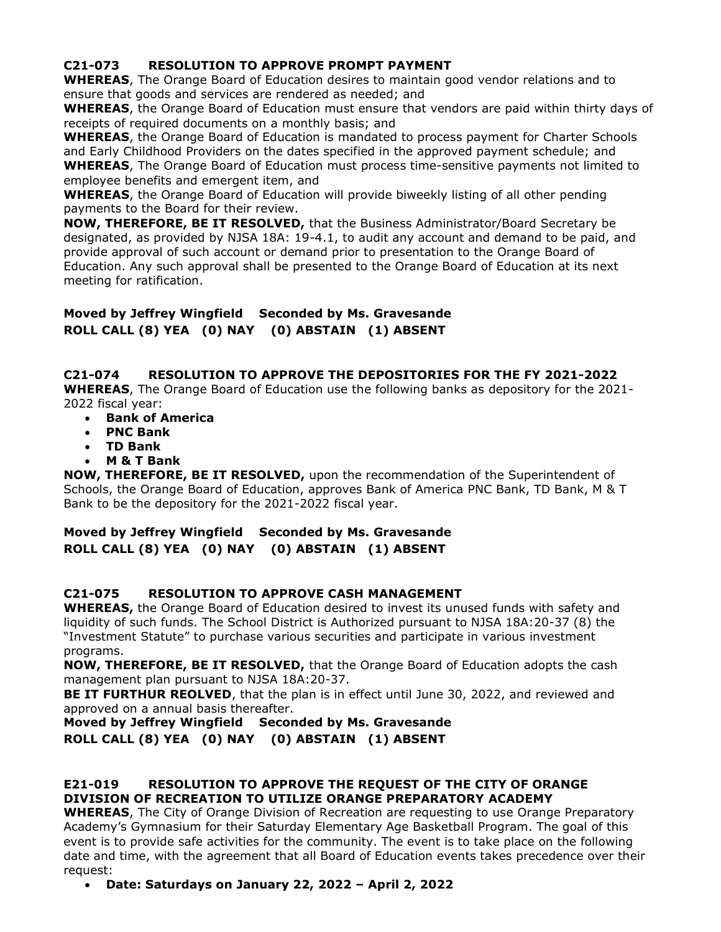## **C21-073 RESOLUTION TO APPROVE PROMPT PAYMENT**

**WHEREAS**, The Orange Board of Education desires to maintain good vendor relations and to ensure that goods and services are rendered as needed; and

**WHEREAS**, the Orange Board of Education must ensure that vendors are paid within thirty days of receipts of required documents on a monthly basis; and

**WHEREAS**, the Orange Board of Education is mandated to process payment for Charter Schools and Early Childhood Providers on the dates specified in the approved payment schedule; and **WHEREAS**, The Orange Board of Education must process time-sensitive payments not limited to employee benefits and emergent item, and

**WHEREAS**, the Orange Board of Education will provide biweekly listing of all other pending payments to the Board for their review.

**NOW, THEREFORE, BE IT RESOLVED,** that the Business Administrator/Board Secretary be designated, as provided by NJSA 18A: 19-4.1, to audit any account and demand to be paid, and provide approval of such account or demand prior to presentation to the Orange Board of Education. Any such approval shall be presented to the Orange Board of Education at its next meeting for ratification.

# **Moved by Jeffrey Wingfield Seconded by Ms. Gravesande ROLL CALL (8) YEA (0) NAY (0) ABSTAIN (1) ABSENT**

# **C21-074 RESOLUTION TO APPROVE THE DEPOSITORIES FOR THE FY 2021-2022**

**WHEREAS**, The Orange Board of Education use the following banks as depository for the 2021- 2022 fiscal year:

- **Bank of America**
- **PNC Bank**
- **TD Bank**
- **M & T Bank**

**NOW, THEREFORE, BE IT RESOLVED,** upon the recommendation of the Superintendent of Schools, the Orange Board of Education, approves Bank of America PNC Bank, TD Bank, M & T Bank to be the depository for the 2021-2022 fiscal year.

# **Moved by Jeffrey Wingfield Seconded by Ms. Gravesande ROLL CALL (8) YEA (0) NAY (0) ABSTAIN (1) ABSENT**

### **C21-075 RESOLUTION TO APPROVE CASH MANAGEMENT**

**WHEREAS,** the Orange Board of Education desired to invest its unused funds with safety and liquidity of such funds. The School District is Authorized pursuant to NJSA 18A:20-37 (8) the "Investment Statute" to purchase various securities and participate in various investment programs.

**NOW, THEREFORE, BE IT RESOLVED,** that the Orange Board of Education adopts the cash management plan pursuant to NJSA 18A:20-37.

**BE IT FURTHUR REOLVED**, that the plan is in effect until June 30, 2022, and reviewed and approved on a annual basis thereafter.

**Moved by Jeffrey Wingfield Seconded by Ms. Gravesande ROLL CALL (8) YEA (0) NAY (0) ABSTAIN (1) ABSENT**

# **E21-019 RESOLUTION TO APPROVE THE REQUEST OF THE CITY OF ORANGE DIVISION OF RECREATION TO UTILIZE ORANGE PREPARATORY ACADEMY**

**WHEREAS**, The City of Orange Division of Recreation are requesting to use Orange Preparatory Academy's Gymnasium for their Saturday Elementary Age Basketball Program. The goal of this event is to provide safe activities for the community. The event is to take place on the following date and time, with the agreement that all Board of Education events takes precedence over their request:

• **Date: Saturdays on January 22, 2022 – April 2, 2022**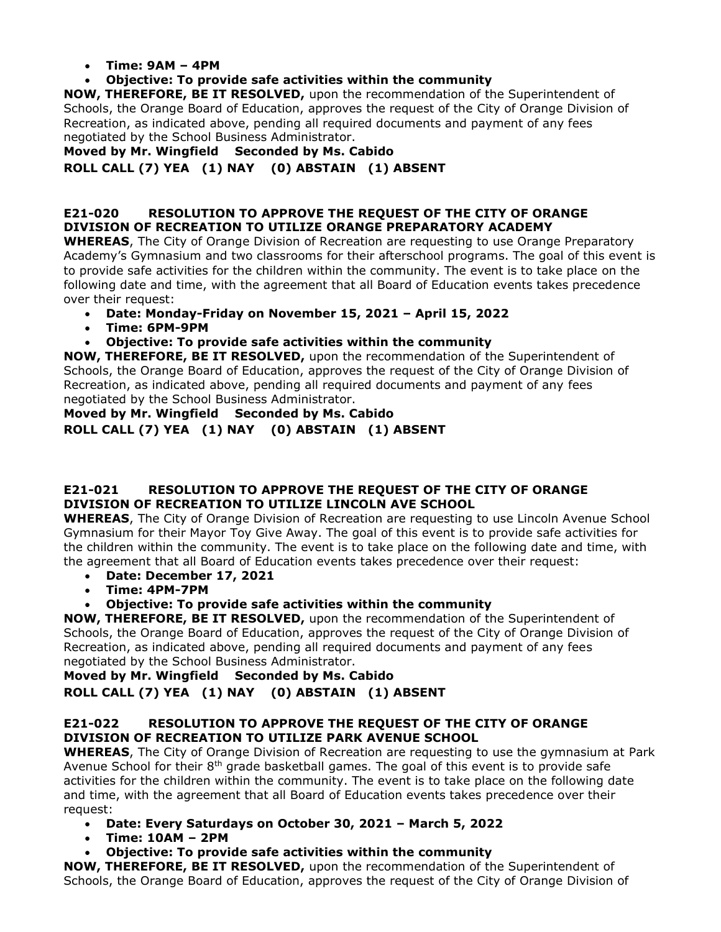### • **Time: 9AM – 4PM**

# • **Objective: To provide safe activities within the community**

**NOW, THEREFORE, BE IT RESOLVED,** upon the recommendation of the Superintendent of Schools, the Orange Board of Education, approves the request of the City of Orange Division of Recreation, as indicated above, pending all required documents and payment of any fees negotiated by the School Business Administrator.

**Moved by Mr. Wingfield Seconded by Ms. Cabido**

# **ROLL CALL (7) YEA (1) NAY (0) ABSTAIN (1) ABSENT**

# **E21-020 RESOLUTION TO APPROVE THE REQUEST OF THE CITY OF ORANGE DIVISION OF RECREATION TO UTILIZE ORANGE PREPARATORY ACADEMY**

**WHEREAS**, The City of Orange Division of Recreation are requesting to use Orange Preparatory Academy's Gymnasium and two classrooms for their afterschool programs. The goal of this event is to provide safe activities for the children within the community. The event is to take place on the following date and time, with the agreement that all Board of Education events takes precedence over their request:

- **Date: Monday-Friday on November 15, 2021 – April 15, 2022**
- **Time: 6PM-9PM**
- **Objective: To provide safe activities within the community**

**NOW, THEREFORE, BE IT RESOLVED,** upon the recommendation of the Superintendent of Schools, the Orange Board of Education, approves the request of the City of Orange Division of Recreation, as indicated above, pending all required documents and payment of any fees negotiated by the School Business Administrator.

**Moved by Mr. Wingfield Seconded by Ms. Cabido ROLL CALL (7) YEA (1) NAY (0) ABSTAIN (1) ABSENT**

### **E21-021 RESOLUTION TO APPROVE THE REQUEST OF THE CITY OF ORANGE DIVISION OF RECREATION TO UTILIZE LINCOLN AVE SCHOOL**

**WHEREAS**, The City of Orange Division of Recreation are requesting to use Lincoln Avenue School Gymnasium for their Mayor Toy Give Away. The goal of this event is to provide safe activities for the children within the community. The event is to take place on the following date and time, with the agreement that all Board of Education events takes precedence over their request:

- **Date: December 17, 2021**
- **Time: 4PM-7PM**

# • **Objective: To provide safe activities within the community**

**NOW, THEREFORE, BE IT RESOLVED,** upon the recommendation of the Superintendent of Schools, the Orange Board of Education, approves the request of the City of Orange Division of Recreation, as indicated above, pending all required documents and payment of any fees negotiated by the School Business Administrator.

# **Moved by Mr. Wingfield Seconded by Ms. Cabido ROLL CALL (7) YEA (1) NAY (0) ABSTAIN (1) ABSENT**

# **E21-022 RESOLUTION TO APPROVE THE REQUEST OF THE CITY OF ORANGE DIVISION OF RECREATION TO UTILIZE PARK AVENUE SCHOOL**

**WHEREAS**, The City of Orange Division of Recreation are requesting to use the gymnasium at Park Avenue School for their  $8<sup>th</sup>$  grade basketball games. The goal of this event is to provide safe activities for the children within the community. The event is to take place on the following date and time, with the agreement that all Board of Education events takes precedence over their request:

- **Date: Every Saturdays on October 30, 2021 – March 5, 2022**
- **Time: 10AM – 2PM**
- **Objective: To provide safe activities within the community**

**NOW, THEREFORE, BE IT RESOLVED,** upon the recommendation of the Superintendent of Schools, the Orange Board of Education, approves the request of the City of Orange Division of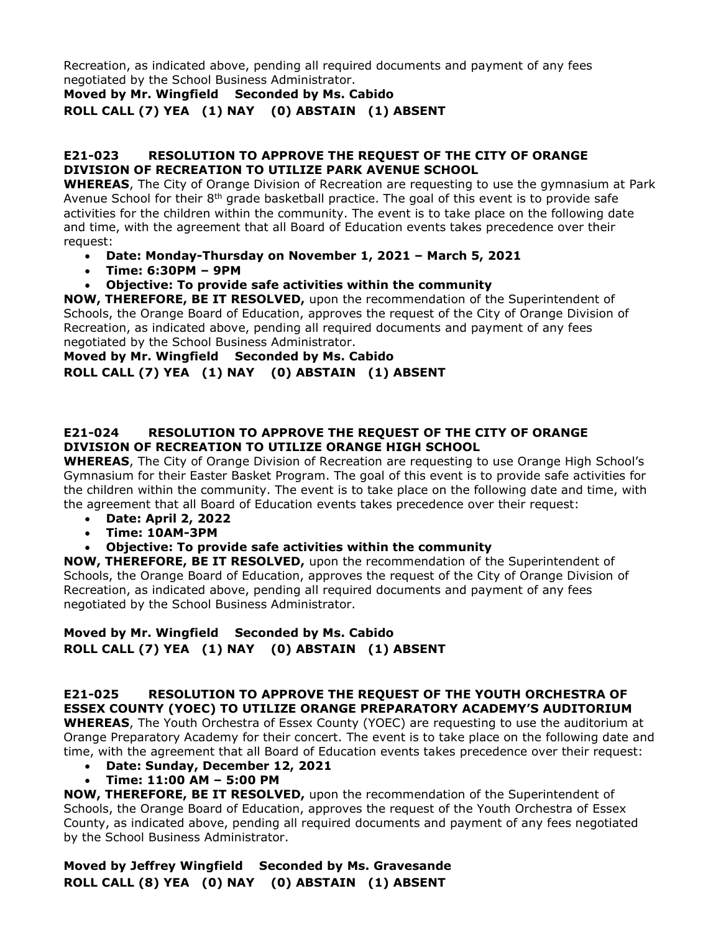Recreation, as indicated above, pending all required documents and payment of any fees negotiated by the School Business Administrator.

**Moved by Mr. Wingfield Seconded by Ms. Cabido**

**ROLL CALL (7) YEA (1) NAY (0) ABSTAIN (1) ABSENT**

#### **E21-023 RESOLUTION TO APPROVE THE REQUEST OF THE CITY OF ORANGE DIVISION OF RECREATION TO UTILIZE PARK AVENUE SCHOOL**

**WHEREAS**, The City of Orange Division of Recreation are requesting to use the gymnasium at Park Avenue School for their  $8<sup>th</sup>$  grade basketball practice. The goal of this event is to provide safe activities for the children within the community. The event is to take place on the following date and time, with the agreement that all Board of Education events takes precedence over their request:

- **Date: Monday-Thursday on November 1, 2021 – March 5, 2021**
- **Time: 6:30PM – 9PM**
- **Objective: To provide safe activities within the community**

**NOW, THEREFORE, BE IT RESOLVED,** upon the recommendation of the Superintendent of Schools, the Orange Board of Education, approves the request of the City of Orange Division of Recreation, as indicated above, pending all required documents and payment of any fees negotiated by the School Business Administrator.

## **Moved by Mr. Wingfield Seconded by Ms. Cabido ROLL CALL (7) YEA (1) NAY (0) ABSTAIN (1) ABSENT**

### **E21-024 RESOLUTION TO APPROVE THE REQUEST OF THE CITY OF ORANGE DIVISION OF RECREATION TO UTILIZE ORANGE HIGH SCHOOL**

**WHEREAS**, The City of Orange Division of Recreation are requesting to use Orange High School's Gymnasium for their Easter Basket Program. The goal of this event is to provide safe activities for the children within the community. The event is to take place on the following date and time, with the agreement that all Board of Education events takes precedence over their request:

- **Date: April 2, 2022**
- **Time: 10AM-3PM**
- **Objective: To provide safe activities within the community**

**NOW, THEREFORE, BE IT RESOLVED,** upon the recommendation of the Superintendent of Schools, the Orange Board of Education, approves the request of the City of Orange Division of Recreation, as indicated above, pending all required documents and payment of any fees negotiated by the School Business Administrator.

# **Moved by Mr. Wingfield Seconded by Ms. Cabido ROLL CALL (7) YEA (1) NAY (0) ABSTAIN (1) ABSENT**

### **E21-025 RESOLUTION TO APPROVE THE REQUEST OF THE YOUTH ORCHESTRA OF ESSEX COUNTY (YOEC) TO UTILIZE ORANGE PREPARATORY ACADEMY'S AUDITORIUM**

**WHEREAS**, The Youth Orchestra of Essex County (YOEC) are requesting to use the auditorium at Orange Preparatory Academy for their concert. The event is to take place on the following date and time, with the agreement that all Board of Education events takes precedence over their request:

- **Date: Sunday, December 12, 2021**
- **Time: 11:00 AM – 5:00 PM**

**NOW, THEREFORE, BE IT RESOLVED,** upon the recommendation of the Superintendent of Schools, the Orange Board of Education, approves the request of the Youth Orchestra of Essex County, as indicated above, pending all required documents and payment of any fees negotiated by the School Business Administrator.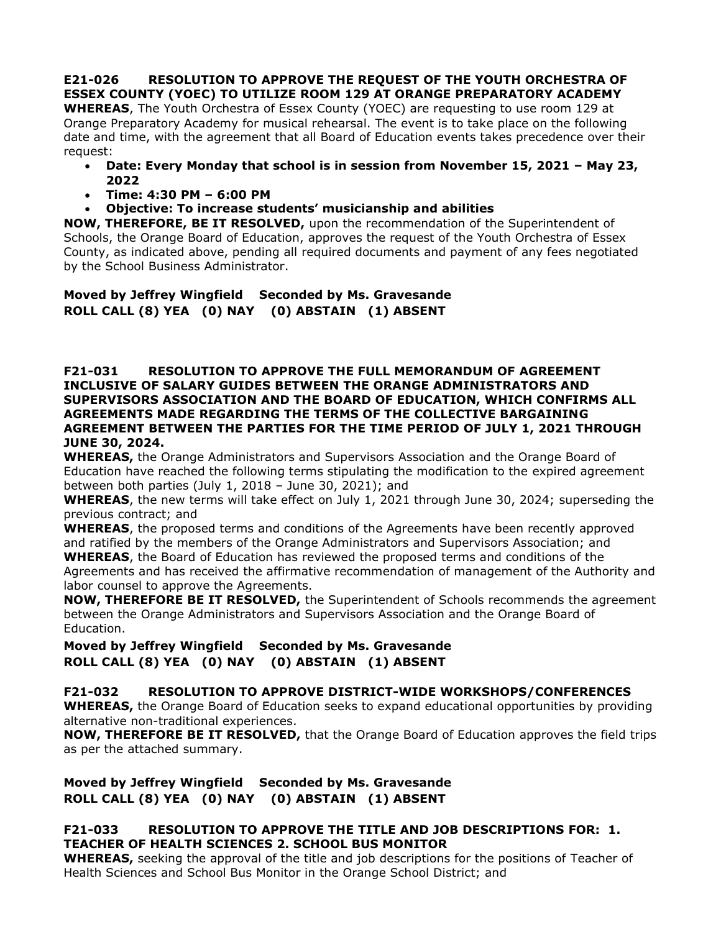**E21-026 RESOLUTION TO APPROVE THE REQUEST OF THE YOUTH ORCHESTRA OF ESSEX COUNTY (YOEC) TO UTILIZE ROOM 129 AT ORANGE PREPARATORY ACADEMY**

**WHEREAS**, The Youth Orchestra of Essex County (YOEC) are requesting to use room 129 at Orange Preparatory Academy for musical rehearsal. The event is to take place on the following date and time, with the agreement that all Board of Education events takes precedence over their request:

- **Date: Every Monday that school is in session from November 15, 2021 – May 23, 2022**
- **Time: 4:30 PM – 6:00 PM**
- **Objective: To increase students' musicianship and abilities**

**NOW, THEREFORE, BE IT RESOLVED,** upon the recommendation of the Superintendent of Schools, the Orange Board of Education, approves the request of the Youth Orchestra of Essex County, as indicated above, pending all required documents and payment of any fees negotiated by the School Business Administrator.

**Moved by Jeffrey Wingfield Seconded by Ms. Gravesande ROLL CALL (8) YEA (0) NAY (0) ABSTAIN (1) ABSENT**

**F21-031 RESOLUTION TO APPROVE THE FULL MEMORANDUM OF AGREEMENT INCLUSIVE OF SALARY GUIDES BETWEEN THE ORANGE ADMINISTRATORS AND SUPERVISORS ASSOCIATION AND THE BOARD OF EDUCATION, WHICH CONFIRMS ALL AGREEMENTS MADE REGARDING THE TERMS OF THE COLLECTIVE BARGAINING AGREEMENT BETWEEN THE PARTIES FOR THE TIME PERIOD OF JULY 1, 2021 THROUGH JUNE 30, 2024.**

**WHEREAS,** the Orange Administrators and Supervisors Association and the Orange Board of Education have reached the following terms stipulating the modification to the expired agreement between both parties (July 1, 2018 – June 30, 2021); and

**WHEREAS**, the new terms will take effect on July 1, 2021 through June 30, 2024; superseding the previous contract; and

**WHEREAS**, the proposed terms and conditions of the Agreements have been recently approved and ratified by the members of the Orange Administrators and Supervisors Association; and **WHEREAS**, the Board of Education has reviewed the proposed terms and conditions of the Agreements and has received the affirmative recommendation of management of the Authority and labor counsel to approve the Agreements.

**NOW, THEREFORE BE IT RESOLVED,** the Superintendent of Schools recommends the agreement between the Orange Administrators and Supervisors Association and the Orange Board of Education.

**Moved by Jeffrey Wingfield Seconded by Ms. Gravesande ROLL CALL (8) YEA (0) NAY (0) ABSTAIN (1) ABSENT**

# **F21-032 RESOLUTION TO APPROVE DISTRICT-WIDE WORKSHOPS/CONFERENCES**

**WHEREAS,** the Orange Board of Education seeks to expand educational opportunities by providing alternative non-traditional experiences.

**NOW, THEREFORE BE IT RESOLVED,** that the Orange Board of Education approves the field trips as per the attached summary.

**Moved by Jeffrey Wingfield Seconded by Ms. Gravesande ROLL CALL (8) YEA (0) NAY (0) ABSTAIN (1) ABSENT**

### **F21-033 RESOLUTION TO APPROVE THE TITLE AND JOB DESCRIPTIONS FOR: 1. TEACHER OF HEALTH SCIENCES 2. SCHOOL BUS MONITOR**

**WHEREAS,** seeking the approval of the title and job descriptions for the positions of Teacher of Health Sciences and School Bus Monitor in the Orange School District; and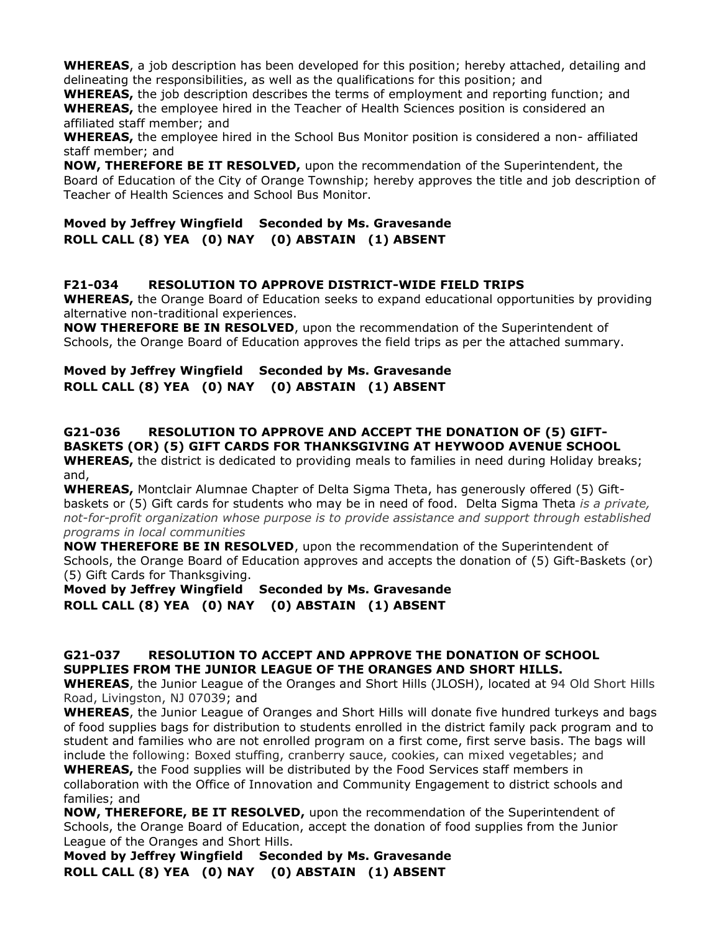**WHEREAS**, a job description has been developed for this position; hereby attached, detailing and delineating the responsibilities, as well as the qualifications for this position; and

**WHEREAS,** the job description describes the terms of employment and reporting function; and **WHEREAS,** the employee hired in the Teacher of Health Sciences position is considered an affiliated staff member; and

**WHEREAS,** the employee hired in the School Bus Monitor position is considered a non- affiliated staff member; and

**NOW, THEREFORE BE IT RESOLVED,** upon the recommendation of the Superintendent, the Board of Education of the City of Orange Township; hereby approves the title and job description of Teacher of Health Sciences and School Bus Monitor.

### **Moved by Jeffrey Wingfield Seconded by Ms. Gravesande ROLL CALL (8) YEA (0) NAY (0) ABSTAIN (1) ABSENT**

### **F21-034 RESOLUTION TO APPROVE DISTRICT-WIDE FIELD TRIPS**

**WHEREAS,** the Orange Board of Education seeks to expand educational opportunities by providing alternative non-traditional experiences.

**NOW THEREFORE BE IN RESOLVED**, upon the recommendation of the Superintendent of Schools, the Orange Board of Education approves the field trips as per the attached summary.

#### **Moved by Jeffrey Wingfield Seconded by Ms. Gravesande ROLL CALL (8) YEA (0) NAY (0) ABSTAIN (1) ABSENT**

#### **G21-036 RESOLUTION TO APPROVE AND ACCEPT THE DONATION OF (5) GIFT-BASKETS (OR) (5) GIFT CARDS FOR THANKSGIVING AT HEYWOOD AVENUE SCHOOL WHEREAS,** the district is dedicated to providing meals to families in need during Holiday breaks; and,

**WHEREAS,** Montclair Alumnae Chapter of Delta Sigma Theta, has generously offered (5) Giftbaskets or (5) Gift cards for students who may be in need of food. Delta Sigma Theta *is a private, not-for-profit organization whose purpose is to provide assistance and support through established programs in local communities*

**NOW THEREFORE BE IN RESOLVED**, upon the recommendation of the Superintendent of Schools, the Orange Board of Education approves and accepts the donation of (5) Gift-Baskets (or) (5) Gift Cards for Thanksgiving.

# **Moved by Jeffrey Wingfield Seconded by Ms. Gravesande ROLL CALL (8) YEA (0) NAY (0) ABSTAIN (1) ABSENT**

### **G21-037 RESOLUTION TO ACCEPT AND APPROVE THE DONATION OF SCHOOL SUPPLIES FROM THE JUNIOR LEAGUE OF THE ORANGES AND SHORT HILLS.**

**WHEREAS**, the Junior League of the Oranges and Short Hills (JLOSH), located at 94 Old Short Hills Road, Livingston, NJ 07039; and

**WHEREAS**, the Junior League of Oranges and Short Hills will donate five hundred turkeys and bags of food supplies bags for distribution to students enrolled in the district family pack program and to student and families who are not enrolled program on a first come, first serve basis. The bags will include the following: Boxed stuffing, cranberry sauce, cookies, can mixed vegetables; and

**WHEREAS,** the Food supplies will be distributed by the Food Services staff members in collaboration with the Office of Innovation and Community Engagement to district schools and families; and

**NOW, THEREFORE, BE IT RESOLVED,** upon the recommendation of the Superintendent of Schools, the Orange Board of Education, accept the donation of food supplies from the Junior League of the Oranges and Short Hills.